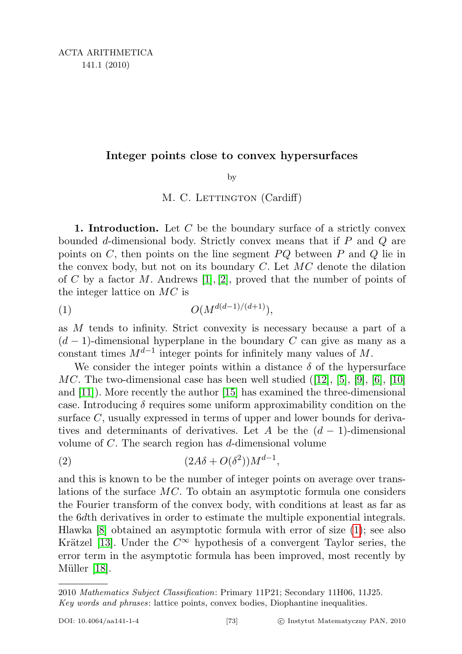## Integer points close to convex hypersurfaces

by

<span id="page-0-0"></span>M. C. LETTINGTON (Cardiff)

1. Introduction. Let  $C$  be the boundary surface of a strictly convex bounded d-dimensional body. Strictly convex means that if P and Q are points on  $C$ , then points on the line segment  $PQ$  between  $P$  and  $Q$  lie in the convex body, but not on its boundary  $C$ . Let  $MC$  denote the dilation of C by a factor M. Andrews [\[1\]](#page-27-0), [\[2\]](#page-28-0), proved that the number of points of the integer lattice on MC is

(1) 
$$
O(M^{d(d-1)/(d+1)}),
$$

as M tends to infinity. Strict convexity is necessary because a part of a  $(d-1)$ -dimensional hyperplane in the boundary C can give as many as a constant times  $M^{d-1}$  integer points for infinitely many values of M.

We consider the integer points within a distance  $\delta$  of the hypersurface MC. The two-dimensional case has been well studied  $(12, 5, 5, 6, 6, 10)$ and [\[11\]](#page-28-6)). More recently the author [\[15\]](#page-28-7) has examined the three-dimensional case. Introducing  $\delta$  requires some uniform approximability condition on the surface C, usually expressed in terms of upper and lower bounds for derivatives and determinants of derivatives. Let A be the  $(d-1)$ -dimensional volume of C. The search region has d-dimensional volume

$$
(2A\delta + O(\delta^2))M^{d-1},
$$

and this is known to be the number of integer points on average over translations of the surface MC. To obtain an asymptotic formula one considers the Fourier transform of the convex body, with conditions at least as far as the 6dth derivatives in order to estimate the multiple exponential integrals. Hlawka [\[8\]](#page-28-8) obtained an asymptotic formula with error of size [\(1\)](#page-0-0); see also Krätzel [\[13\]](#page-28-9). Under the  $C^{\infty}$  hypothesis of a convergent Taylor series, the error term in the asymptotic formula has been improved, most recently by Müller [\[18\]](#page-28-10).

<sup>2010</sup> Mathematics Subject Classification: Primary 11P21; Secondary 11H06, 11J25. Key words and phrases: lattice points, convex bodies, Diophantine inequalities.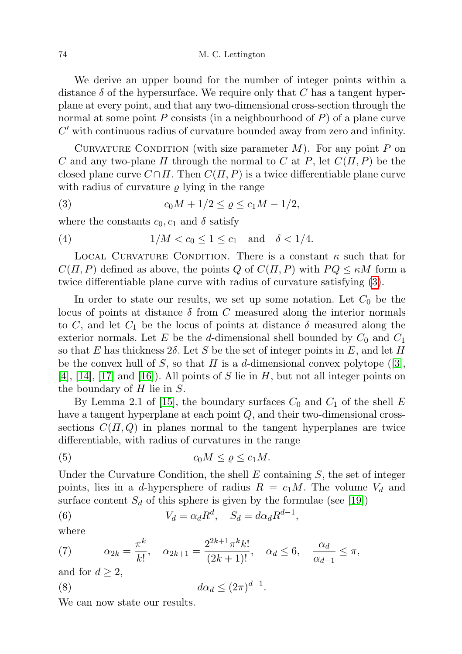We derive an upper bound for the number of integer points within a distance  $\delta$  of the hypersurface. We require only that C has a tangent hyperplane at every point, and that any two-dimensional cross-section through the normal at some point  $P$  consists (in a neighbourhood of  $P$ ) of a plane curve  $C'$  with continuous radius of curvature bounded away from zero and infinity.

CURVATURE CONDITION (with size parameter  $M$ ). For any point P on C and any two-plane  $\Pi$  through the normal to C at P, let  $C(\Pi, P)$  be the closed plane curve  $C \cap \Pi$ . Then  $C(\Pi, P)$  is a twice differentiable plane curve with radius of curvature  $\rho$  lying in the range

<span id="page-1-0"></span>(3) 
$$
c_0 M + 1/2 \le \varrho \le c_1 M - 1/2,
$$

where the constants  $c_0, c_1$  and  $\delta$  satisfy

<span id="page-1-3"></span>(4) 
$$
1/M < c_0 \le 1 \le c_1
$$
 and  $\delta < 1/4$ .

LOCAL CURVATURE CONDITION. There is a constant  $\kappa$  such that for  $C(\Pi, P)$  defined as above, the points Q of  $C(\Pi, P)$  with  $PQ \leq \kappa M$  form a twice differentiable plane curve with radius of curvature satisfying [\(3\)](#page-1-0).

In order to state our results, we set up some notation. Let  $C_0$  be the locus of points at distance  $\delta$  from C measured along the interior normals to C, and let  $C_1$  be the locus of points at distance  $\delta$  measured along the exterior normals. Let E be the d-dimensional shell bounded by  $C_0$  and  $C_1$ so that E has thickness  $2\delta$ . Let S be the set of integer points in E, and let H be the convex hull of S, so that H is a d-dimensional convex polytope ([\[3\]](#page-28-11), [\[4\]](#page-28-12), [\[14\]](#page-28-13), [\[17\]](#page-28-14) and [\[16\]](#page-28-15)). All points of S lie in  $H$ , but not all integer points on the boundary of  $H$  lie in  $S$ .

By Lemma 2.1 of [\[15\]](#page-28-7), the boundary surfaces  $C_0$  and  $C_1$  of the shell E have a tangent hyperplane at each point Q, and their two-dimensional crosssections  $C(\Pi, Q)$  in planes normal to the tangent hyperplanes are twice differentiable, with radius of curvatures in the range

<span id="page-1-1"></span>
$$
(5) \t\t c_0 M \le \varrho \le c_1 M.
$$

Under the Curvature Condition, the shell  $E$  containing  $S$ , the set of integer points, lies in a d-hypersphere of radius  $R = c_1 M$ . The volume  $V_d$  and surface content  $S_d$  of this sphere is given by the formulae (see [\[19\]](#page-28-16))

<span id="page-1-4"></span>(6) 
$$
V_d = \alpha_d R^d, \quad S_d = d\alpha_d R^{d-1},
$$

where

<span id="page-1-2"></span>(7) 
$$
\alpha_{2k} = \frac{\pi^k}{k!}, \quad \alpha_{2k+1} = \frac{2^{2k+1}\pi^k k!}{(2k+1)!}, \quad \alpha_d \le 6, \quad \frac{\alpha_d}{\alpha_{d-1}} \le \pi,
$$

and for  $d \geq 2$ ,

<span id="page-1-5"></span>
$$
(8) \t\t d\alpha_d \le (2\pi)^{d-1}.
$$

We can now state our results.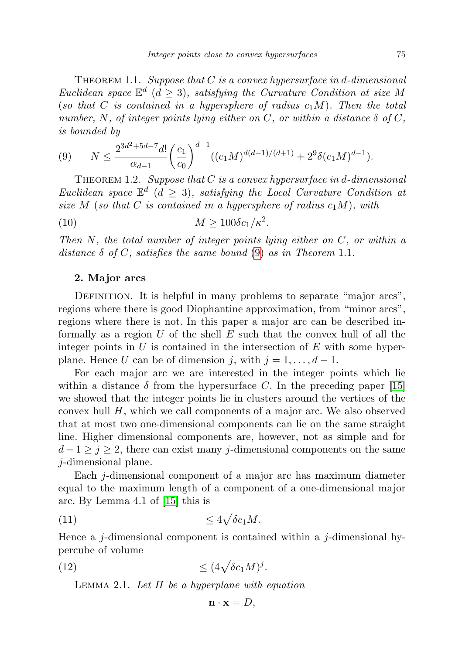THEOREM 1.1. Suppose that  $C$  is a convex hypersurface in d-dimensional Euclidean space  $\mathbb{E}^d$  ( $d \geq 3$ ), satisfying the Curvature Condition at size M (so that C is contained in a hypersphere of radius  $c_1M$ ). Then the total number, N, of integer points lying either on C, or within a distance  $\delta$  of C, is bounded by

<span id="page-2-0"></span>(9) 
$$
N \le \frac{2^{3d^2+5d-7}d!}{\alpha_{d-1}} \left(\frac{c_1}{c_0}\right)^{d-1} ((c_1M)^{d(d-1)/(d+1)} + 2^9 \delta(c_1M)^{d-1}).
$$

THEOREM 1.2. Suppose that  $C$  is a convex hypersurface in d-dimensional Euclidean space  $\mathbb{E}^d$  ( $d \geq 3$ ), satisfying the Local Curvature Condition at size M (so that C is contained in a hypersphere of radius  $c_1M$ ), with

(10) 
$$
M \ge 100\delta c_1/\kappa^2.
$$

Then  $N$ , the total number of integer points lying either on  $C$ , or within a distance  $\delta$  of C, satisfies the same bound [\(9\)](#page-2-0) as in Theorem 1.1.

## 2. Major arcs

DEFINITION. It is helpful in many problems to separate "major arcs", regions where there is good Diophantine approximation, from "minor arcs", regions where there is not. In this paper a major arc can be described informally as a region U of the shell  $E$  such that the convex hull of all the integer points in  $U$  is contained in the intersection of  $E$  with some hyperplane. Hence U can be of dimension j, with  $j = 1, \ldots, d - 1$ .

For each major arc we are interested in the integer points which lie within a distance  $\delta$  from the hypersurface C. In the preceding paper [\[15\]](#page-28-7) we showed that the integer points lie in clusters around the vertices of the convex hull  $H$ , which we call components of a major arc. We also observed that at most two one-dimensional components can lie on the same straight line. Higher dimensional components are, however, not as simple and for  $d-1 \geq j \geq 2$ , there can exist many j-dimensional components on the same j-dimensional plane.

Each j-dimensional component of a major arc has maximum diameter equal to the maximum length of a component of a one-dimensional major arc. By Lemma 4.1 of [\[15\]](#page-28-7) this is

$$
\leq 4\sqrt{\delta c_1 M}.
$$

Hence a  $j$ -dimensional component is contained within a  $j$ -dimensional hypercube of volume

(12) ≤ (4p δc1M) j .

LEMMA 2.1. Let  $\Pi$  be a hyperplane with equation

<span id="page-2-1"></span>
$$
\mathbf{n} \cdot \mathbf{x} = D,
$$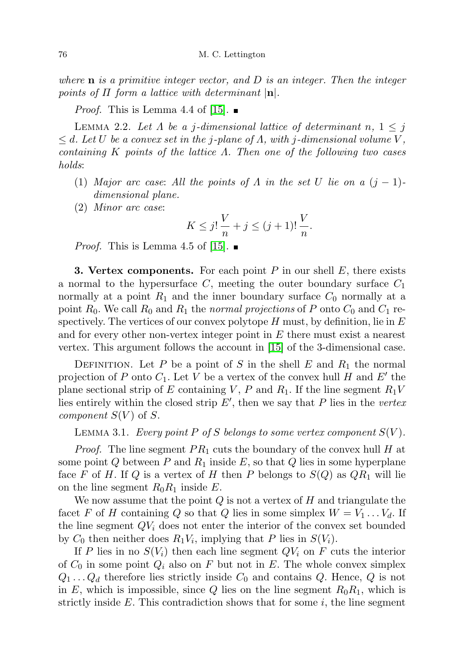where  $\bf{n}$  is a primitive integer vector, and  $\bf{D}$  is an integer. Then the integer points of  $\Pi$  form a lattice with determinant  $|\mathbf{n}|$ .

*Proof.* This is Lemma 4.4 of [\[15\]](#page-28-7).  $\blacksquare$ 

LEMMA 2.2. Let  $\Lambda$  be a j-dimensional lattice of determinant  $n, 1 \leq j$  $\leq d.$  Let U be a convex set in the j-plane of  $\Lambda$ , with j-dimensional volume V, containing K points of the lattice  $\Lambda$ . Then one of the following two cases holds:

- (1) Major arc case: All the points of  $\Lambda$  in the set U lie on a  $(j-1)$ dimensional plane.
- (2) Minor arc case:

$$
K \le j! \frac{V}{n} + j \le (j+1)! \frac{V}{n}.
$$

*Proof.* This is Lemma 4.5 of [\[15\]](#page-28-7).  $\blacksquare$ 

**3. Vertex components.** For each point  $P$  in our shell  $E$ , there exists a normal to the hypersurface  $C$ , meeting the outer boundary surface  $C_1$ normally at a point  $R_1$  and the inner boundary surface  $C_0$  normally at a point  $R_0$ . We call  $R_0$  and  $R_1$  the normal projections of P onto  $C_0$  and  $C_1$  respectively. The vertices of our convex polytope  $H$  must, by definition, lie in  $E$ and for every other non-vertex integer point in  $E$  there must exist a nearest vertex. This argument follows the account in [\[15\]](#page-28-7) of the 3-dimensional case.

DEFINITION. Let  $P$  be a point of  $S$  in the shell  $E$  and  $R_1$  the normal projection of P onto  $C_1$ . Let V be a vertex of the convex hull H and E' the plane sectional strip of E containing V, P and  $R_1$ . If the line segment  $R_1V$ lies entirely within the closed strip  $E'$ , then we say that  $P$  lies in the vertex component  $S(V)$  of S.

LEMMA 3.1. Every point P of S belongs to some vertex component  $S(V)$ .

*Proof.* The line segment  $PR_1$  cuts the boundary of the convex hull H at some point Q between P and  $R_1$  inside E, so that Q lies in some hyperplane face F of H. If Q is a vertex of H then P belongs to  $S(Q)$  as  $QR_1$  will lie on the line segment  $R_0R_1$  inside E.

We now assume that the point  $Q$  is not a vertex of  $H$  and triangulate the facet F of H containing Q so that Q lies in some simplex  $W = V_1 \dots V_d$ . If the line segment  $QV_i$  does not enter the interior of the convex set bounded by  $C_0$  then neither does  $R_1V_i$ , implying that P lies in  $S(V_i)$ .

If P lies in no  $S(V_i)$  then each line segment  $QV_i$  on F cuts the interior of  $C_0$  in some point  $Q_i$  also on F but not in E. The whole convex simplex  $Q_1 \ldots Q_d$  therefore lies strictly inside  $C_0$  and contains Q. Hence, Q is not in E, which is impossible, since Q lies on the line segment  $R_0R_1$ , which is strictly inside E. This contradiction shows that for some  $i$ , the line segment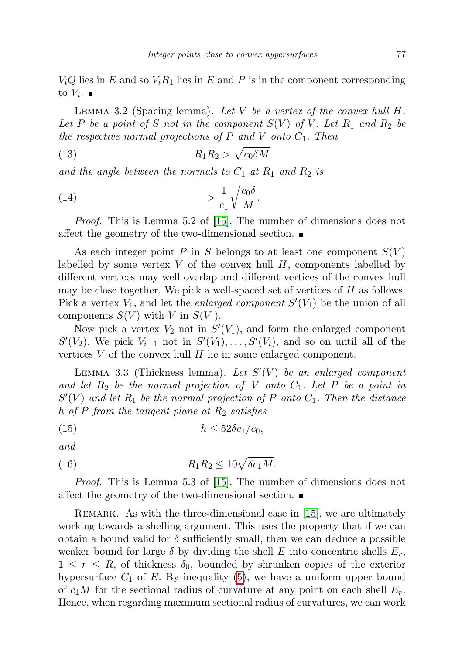$V_iQ$  lies in E and so  $V_iR_1$  lies in E and P is in the component corresponding to  $V_i$ .

LEMMA 3.2 (Spacing lemma). Let V be a vertex of the convex hull  $H$ . Let P be a point of S not in the component  $S(V)$  of V. Let  $R_1$  and  $R_2$  be the respective normal projections of  $P$  and  $V$  onto  $C_1$ . Then

<span id="page-4-1"></span>
$$
(13)\qquad \qquad R_1 R_2 > \sqrt{c_0 \delta M}
$$

and the angle between the normals to  $C_1$  at  $R_1$  and  $R_2$  is

$$
\frac{1}{c_1} \sqrt{\frac{c_0 \delta}{M}}.
$$

Proof. This is Lemma 5.2 of [\[15\]](#page-28-7). The number of dimensions does not affect the geometry of the two-dimensional section.

As each integer point P in S belongs to at least one component  $S(V)$ labelled by some vertex  $V$  of the convex hull  $H$ , components labelled by different vertices may well overlap and different vertices of the convex hull may be close together. We pick a well-spaced set of vertices of  $H$  as follows. Pick a vertex  $V_1$ , and let the *enlarged component*  $S'(V_1)$  be the union of all components  $S(V)$  with V in  $S(V_1)$ .

Now pick a vertex  $V_2$  not in  $S'(V_1)$ , and form the enlarged component  $S'(V_2)$ . We pick  $V_{i+1}$  not in  $S'(V_1), \ldots, S'(V_i)$ , and so on until all of the vertices  $V$  of the convex hull  $H$  lie in some enlarged component.

LEMMA 3.3 (Thickness lemma). Let  $S'(V)$  be an enlarged component and let  $R_2$  be the normal projection of V onto  $C_1$ . Let P be a point in  $S'(V)$  and let  $R_1$  be the normal projection of P onto  $C_1$ . Then the distance h of P from the tangent plane at  $R_2$  satisfies

(15) h ≤ 52δc1/c0,

and

<span id="page-4-0"></span>
$$
(16) \t\t R_1 R_2 \le 10\sqrt{\delta c_1 M}.
$$

Proof. This is Lemma 5.3 of [\[15\]](#page-28-7). The number of dimensions does not affect the geometry of the two-dimensional section.

REMARK. As with the three-dimensional case in [\[15\]](#page-28-7), we are ultimately working towards a shelling argument. This uses the property that if we can obtain a bound valid for  $\delta$  sufficiently small, then we can deduce a possible weaker bound for large  $\delta$  by dividing the shell E into concentric shells  $E_r$ ,  $1 \leq r \leq R$ , of thickness  $\delta_0$ , bounded by shrunken copies of the exterior hypersurface  $C_1$  of E. By inequality [\(5\)](#page-1-1), we have a uniform upper bound of  $c_1M$  for the sectional radius of curvature at any point on each shell  $E_r$ . Hence, when regarding maximum sectional radius of curvatures, we can work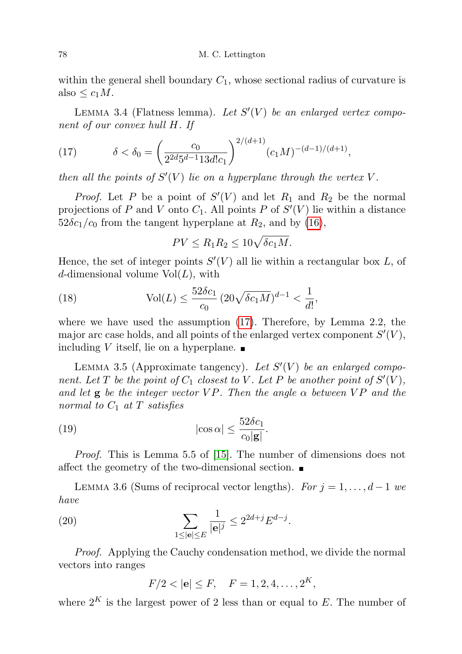within the general shell boundary  $C_1$ , whose sectional radius of curvature is also  $\leq c_1 M$ .

LEMMA 3.4 (Flatness lemma). Let  $S'(V)$  be an enlarged vertex component of our convex hull H. If

<span id="page-5-0"></span>(17) 
$$
\delta < \delta_0 = \left(\frac{c_0}{2^{2d}5^{d-1}13d!c_1}\right)^{2/(d+1)}(c_1M)^{-(d-1)/(d+1)},
$$

then all the points of  $S'(V)$  lie on a hyperplane through the vertex V.

*Proof.* Let P be a point of  $S'(V)$  and let  $R_1$  and  $R_2$  be the normal projections of P and V onto  $C_1$ . All points P of  $S'(V)$  lie within a distance  $52\delta c_1/c_0$  from the tangent hyperplane at  $R_2$ , and by [\(16\)](#page-4-0),

<span id="page-5-2"></span>
$$
PV \le R_1 R_2 \le 10\sqrt{\delta c_1 M}.
$$

Hence, the set of integer points  $S'(V)$  all lie within a rectangular box L, of d-dimensional volume  $Vol(L)$ , with

(18) 
$$
\text{Vol}(L) \le \frac{52\delta c_1}{c_0} (20\sqrt{\delta c_1 M})^{d-1} < \frac{1}{d!},
$$

where we have used the assumption [\(17\)](#page-5-0). Therefore, by Lemma 2.2, the major arc case holds, and all points of the enlarged vertex component  $S'(V)$ , including V itself, lie on a hyperplane.  $\blacksquare$ 

LEMMA 3.5 (Approximate tangency). Let  $S'(V)$  be an enlarged component. Let T be the point of  $C_1$  closest to V. Let P be another point of  $S'(V)$ , and let **g** be the integer vector VP. Then the angle  $\alpha$  between VP and the normal to  $C_1$  at T satisfies

(19) 
$$
|\cos \alpha| \leq \frac{52\delta c_1}{c_0 |\mathbf{g}|}.
$$

Proof. This is Lemma 5.5 of [\[15\]](#page-28-7). The number of dimensions does not affect the geometry of the two-dimensional section.

LEMMA 3.6 (Sums of reciprocal vector lengths). For  $j = 1, \ldots, d - 1$  we have

(20) 
$$
\sum_{1 \leq |\mathbf{e}| \leq E} \frac{1}{|\mathbf{e}|^j} \leq 2^{2d+j} E^{d-j}.
$$

Proof. Applying the Cauchy condensation method, we divide the normal vectors into ranges

<span id="page-5-1"></span>
$$
F/2 < |e| \le F
$$
,  $F = 1, 2, 4, ..., 2^K$ ,

where  $2^{K}$  is the largest power of 2 less than or equal to E. The number of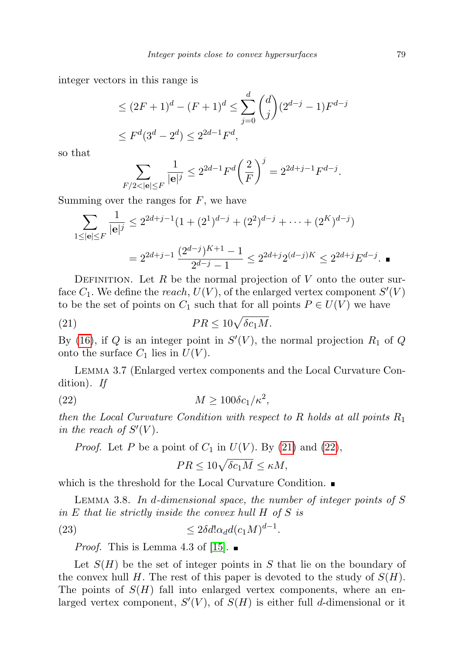integer vectors in this range is

$$
\leq (2F+1)^d - (F+1)^d \leq \sum_{j=0}^d \binom{d}{j} (2^{d-j} - 1) F^{d-j}
$$
  

$$
\leq F^d (3^d - 2^d) \leq 2^{2d-1} F^d,
$$

so that

$$
\sum_{F/2 < |\mathbf{e}| \le F} \frac{1}{|\mathbf{e}|^j} \le 2^{2d-1} F^d \left(\frac{2}{F}\right)^j = 2^{2d+j-1} F^{d-j}.
$$

Summing over the ranges for  $F$ , we have

$$
\sum_{1 \leq |\mathbf{e}| \leq F} \frac{1}{|\mathbf{e}|^j} \leq 2^{2d+j-1} (1 + (2^1)^{d-j} + (2^2)^{d-j} + \dots + (2^K)^{d-j})
$$

$$
= 2^{2d+j-1} \frac{(2^{d-j})^{K+1} - 1}{2^{d-j} - 1} \leq 2^{2d+j} 2^{(d-j)K} \leq 2^{2d+j} E^{d-j}.
$$

DEFINITION. Let R be the normal projection of V onto the outer surface  $C_1$ . We define the reach,  $U(V)$ , of the enlarged vertex component  $S'(V)$ to be the set of points on  $C_1$  such that for all points  $P \in U(V)$  we have

<span id="page-6-0"></span>
$$
(21) \t\t PR \leq 10\sqrt{\delta c_1 M}.
$$

By [\(16\)](#page-4-0), if Q is an integer point in  $S'(V)$ , the normal projection  $R_1$  of Q onto the surface  $C_1$  lies in  $U(V)$ .

Lemma 3.7 (Enlarged vertex components and the Local Curvature Condition). If

$$
(22) \t\t\t\t M \ge 100\delta c_1/\kappa^2,
$$

then the Local Curvature Condition with respect to R holds at all points  $R_1$ in the reach of  $S'(V)$ .

*Proof.* Let P be a point of  $C_1$  in  $U(V)$ . By [\(21\)](#page-6-0) and [\(22\)](#page-6-1),

<span id="page-6-2"></span><span id="page-6-1"></span>
$$
PR \le 10\sqrt{\delta c_1 M} \le \kappa M,
$$

which is the threshold for the Local Curvature Condition.

Lemma 3.8. In d-dimensional space, the number of integer points of S in  $E$  that lie strictly inside the convex hull  $H$  of  $S$  is

.

$$
\leq 2\delta d! \alpha_d d(c_1 M)^{d-1}
$$

*Proof.* This is Lemma 4.3 of [\[15\]](#page-28-7).  $\blacksquare$ 

Let  $S(H)$  be the set of integer points in S that lie on the boundary of the convex hull H. The rest of this paper is devoted to the study of  $S(H)$ . The points of  $S(H)$  fall into enlarged vertex components, where an enlarged vertex component,  $S'(V)$ , of  $S(H)$  is either full d-dimensional or it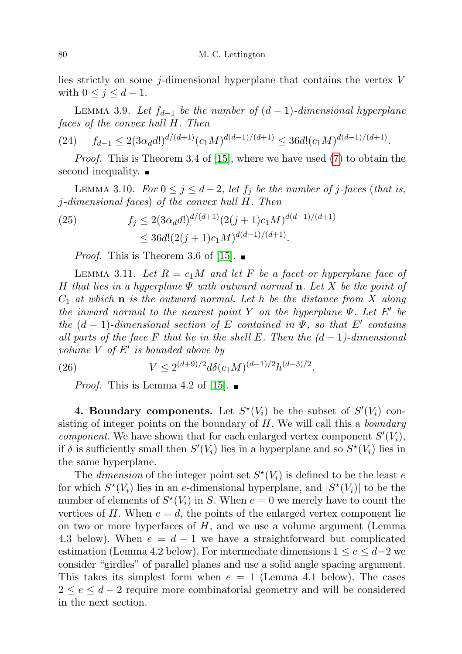lies strictly on some j-dimensional hyperplane that contains the vertex V with  $0 \leq j \leq d-1$ .

LEMMA 3.9. Let  $f_{d-1}$  be the number of  $(d-1)$ -dimensional hyperplane faces of the convex hull H. Then

$$
(24) \t f_{d-1} \le 2(3\alpha_d d!)^{d/(d+1)} (c_1 M)^{d(d-1)/(d+1)} \le 36d!(c_1 M)^{d(d-1)/(d+1)}.
$$

Proof. This is Theorem 3.4 of [\[15\]](#page-28-7), where we have used [\(7\)](#page-1-2) to obtain the second inequality.  $\blacksquare$ 

LEMMA 3.10. For  $0 \leq j \leq d-2$ , let  $f_j$  be the number of j-faces (that is, j-dimensional faces) of the convex hull H. Then

<span id="page-7-0"></span>(25) 
$$
f_j \leq 2(3\alpha_d d!)^{d/(d+1)} (2(j+1)c_1 M)^{d(d-1)/(d+1)}
$$

$$
\leq 36d!(2(j+1)c_1 M)^{d(d-1)/(d+1)}.
$$

*Proof.* This is Theorem 3.6 of [\[15\]](#page-28-7).  $\blacksquare$ 

LEMMA 3.11. Let  $R = c_1M$  and let F be a facet or hyperplane face of H that lies in a hyperplane  $\Psi$  with outward normal **n**. Let X be the point of  $C_1$  at which **n** is the outward normal. Let h be the distance from X along the inward normal to the nearest point Y on the hyperplane  $\Psi$ . Let E' be the  $(d-1)$ -dimensional section of E contained in  $\Psi$ , so that E' contains all parts of the face F that lie in the shell E. Then the  $(d-1)$ -dimensional volume  $V$  of  $E'$  is bounded above by

(26) 
$$
V \le 2^{(d+9)/2} d\delta(c_1 M)^{(d-1)/2} h^{(d-3)/2}.
$$

*Proof.* This is Lemma 4.2 of [\[15\]](#page-28-7).  $\blacksquare$ 

**4. Boundary components.** Let  $S^*(V_i)$  be the subset of  $S'(V_i)$  consisting of integer points on the boundary of  $H$ . We will call this a *boundary component*. We have shown that for each enlarged vertex component  $S'(V_i)$ , if  $\delta$  is sufficiently small then  $S'(V_i)$  lies in a hyperplane and so  $S^*(V_i)$  lies in the same hyperplane.

The *dimension* of the integer point set  $S^*(V_i)$  is defined to be the least e for which  $S^*(V_i)$  lies in an e-dimensional hyperplane, and  $|S^*(V_i)|$  to be the number of elements of  $S^*(V_i)$  in S. When  $e = 0$  we merely have to count the vertices of H. When  $e = d$ , the points of the enlarged vertex component lie on two or more hyperfaces of  $H$ , and we use a volume argument (Lemma 4.3 below). When  $e = d - 1$  we have a straightforward but complicated estimation (Lemma 4.2 below). For intermediate dimensions  $1 \leq e \leq d-2$  we consider "girdles" of parallel planes and use a solid angle spacing argument. This takes its simplest form when  $e = 1$  (Lemma 4.1 below). The cases  $2 \le e \le d-2$  require more combinatorial geometry and will be considered in the next section.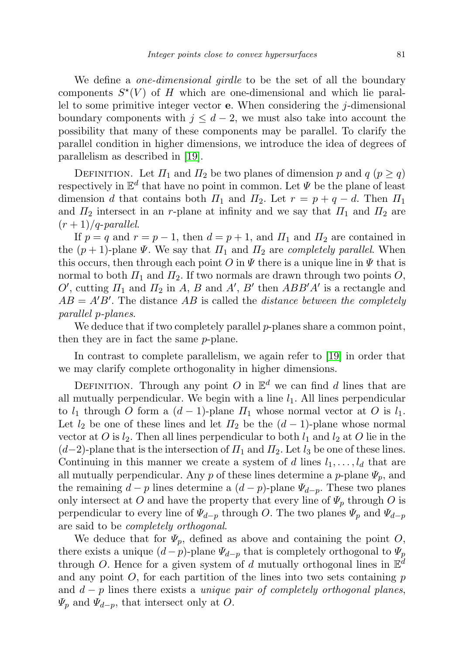We define a *one-dimensional girdle* to be the set of all the boundary components  $S^*(V)$  of H which are one-dimensional and which lie parallel to some primitive integer vector **e**. When considering the  $j$ -dimensional boundary components with  $j \leq d-2$ , we must also take into account the possibility that many of these components may be parallel. To clarify the parallel condition in higher dimensions, we introduce the idea of degrees of parallelism as described in [\[19\]](#page-28-16).

DEFINITION. Let  $\Pi_1$  and  $\Pi_2$  be two planes of dimension p and  $q$  ( $p \ge q$ ) respectively in  $\mathbb{E}^d$  that have no point in common. Let  $\Psi$  be the plane of least dimension d that contains both  $\Pi_1$  and  $\Pi_2$ . Let  $r = p + q - d$ . Then  $\Pi_1$ and  $\Pi_2$  intersect in an r-plane at infinity and we say that  $\Pi_1$  and  $\Pi_2$  are  $(r+1)/q$ -parallel.

If  $p = q$  and  $r = p - 1$ , then  $d = p + 1$ , and  $\Pi_1$  and  $\Pi_2$  are contained in the  $(p+1)$ -plane  $\Psi$ . We say that  $\Pi_1$  and  $\Pi_2$  are *completely parallel*. When this occurs, then through each point O in  $\Psi$  there is a unique line in  $\Psi$  that is normal to both  $\Pi_1$  and  $\Pi_2$ . If two normals are drawn through two points  $O$ , O', cutting  $\Pi_1$  and  $\Pi_2$  in A, B and A', B' then ABB'A' is a rectangle and  $AB = A'B'$ . The distance AB is called the *distance between the completely* parallel p-planes.

We deduce that if two completely parallel  $p$ -planes share a common point, then they are in fact the same p-plane.

In contrast to complete parallelism, we again refer to [\[19\]](#page-28-16) in order that we may clarify complete orthogonality in higher dimensions.

DEFINITION. Through any point O in  $\mathbb{E}^d$  we can find d lines that are all mutually perpendicular. We begin with a line  $l_1$ . All lines perpendicular to  $l_1$  through O form a  $(d-1)$ -plane  $\Pi_1$  whose normal vector at O is  $l_1$ . Let  $l_2$  be one of these lines and let  $\Pi_2$  be the  $(d-1)$ -plane whose normal vector at O is  $l_2$ . Then all lines perpendicular to both  $l_1$  and  $l_2$  at O lie in the  $(d-2)$ -plane that is the intersection of  $\Pi_1$  and  $\Pi_2$ . Let  $l_3$  be one of these lines. Continuing in this manner we create a system of d lines  $l_1, \ldots, l_d$  that are all mutually perpendicular. Any p of these lines determine a p-plane  $\Psi_p$ , and the remaining  $d - p$  lines determine a  $(d - p)$ -plane  $\Psi_{d-p}$ . These two planes only intersect at O and have the property that every line of  $\Psi_p$  through O is perpendicular to every line of  $\Psi_{d-p}$  through O. The two planes  $\Psi_p$  and  $\Psi_{d-p}$ are said to be completely orthogonal.

We deduce that for  $\Psi_p$ , defined as above and containing the point O, there exists a unique  $(d-p)$ -plane  $\Psi_{d-p}$  that is completely orthogonal to  $\Psi_p$ through O. Hence for a given system of d mutually orthogonal lines in  $\mathbb{E}^d$ and any point  $O$ , for each partition of the lines into two sets containing  $p$ and  $d - p$  lines there exists a *unique pair of completely orthogonal planes*,  $\Psi_p$  and  $\Psi_{d-p}$ , that intersect only at O.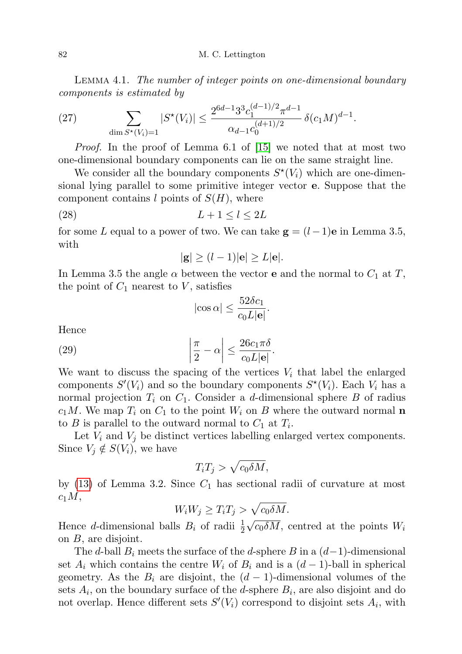Lemma 4.1. The number of integer points on one-dimensional boundary components is estimated by

<span id="page-9-2"></span>(27) 
$$
\sum_{\dim S^*(V_i)=1} |S^*(V_i)| \leq \frac{2^{6d-1} 3^3 c_1^{(d-1)/2} \pi^{d-1}}{\alpha_{d-1} c_0^{(d+1)/2}} \delta(c_1 M)^{d-1}.
$$

Proof. In the proof of Lemma 6.1 of [\[15\]](#page-28-7) we noted that at most two one-dimensional boundary components can lie on the same straight line.

We consider all the boundary components  $S^*(V_i)$  which are one-dimensional lying parallel to some primitive integer vector e. Suppose that the component contains l points of  $S(H)$ , where

$$
(28) \t\t\t L+1 \le l \le 2L
$$

for some L equal to a power of two. We can take  $g = (l-1)e$  in Lemma 3.5, with

<span id="page-9-1"></span>
$$
|\mathbf{g}| \ge (l-1)|\mathbf{e}| \ge L|\mathbf{e}|.
$$

In Lemma 3.5 the angle  $\alpha$  between the vector **e** and the normal to  $C_1$  at T, the point of  $C_1$  nearest to  $V$ , satisfies

<span id="page-9-0"></span>
$$
|\cos \alpha| \le \frac{52\delta c_1}{c_0 L |\mathbf{e}|}.
$$

Hence

(29) 
$$
\left|\frac{\pi}{2} - \alpha\right| \le \frac{26c_1\pi\delta}{c_0L|\mathbf{e}|}.
$$

We want to discuss the spacing of the vertices  $V_i$  that label the enlarged components  $S'(V_i)$  and so the boundary components  $S^*(V_i)$ . Each  $V_i$  has a normal projection  $T_i$  on  $C_1$ . Consider a d-dimensional sphere B of radius  $c_1M$ . We map  $T_i$  on  $C_1$  to the point  $W_i$  on B where the outward normal n to B is parallel to the outward normal to  $C_1$  at  $T_i$ .

Let  $V_i$  and  $V_j$  be distinct vertices labelling enlarged vertex components. Since  $V_i \notin S(V_i)$ , we have

$$
T_i T_j > \sqrt{c_0 \delta M},
$$

by  $(13)$  of Lemma 3.2. Since  $C_1$  has sectional radii of curvature at most  $c_1M$ ,

$$
W_i W_j \ge T_i T_j > \sqrt{c_0 \delta M}.
$$

Hence *d*-dimensional balls  $B_i$  of radii  $\frac{1}{2}$  $c_0 \delta M$ , centred at the points  $W_i$ on B, are disjoint.

The d-ball  $B_i$  meets the surface of the d-sphere B in a  $(d-1)$ -dimensional set  $A_i$  which contains the centre  $W_i$  of  $B_i$  and is a  $(d-1)$ -ball in spherical geometry. As the  $B_i$  are disjoint, the  $(d-1)$ -dimensional volumes of the sets  $A_i$ , on the boundary surface of the *d*-sphere  $B_i$ , are also disjoint and do not overlap. Hence different sets  $S'(V_i)$  correspond to disjoint sets  $A_i$ , with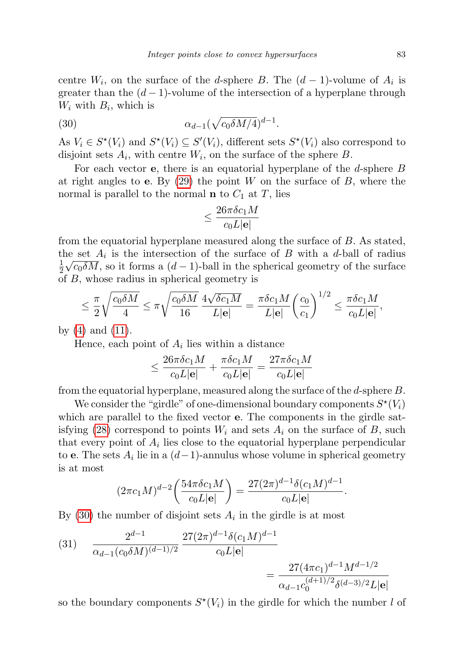centre  $W_i$ , on the surface of the d-sphere B. The  $(d-1)$ -volume of  $A_i$  is greater than the  $(d-1)$ -volume of the intersection of a hyperplane through  $W_i$  with  $B_i$ , which is

$$
\alpha_{d-1}(\sqrt{c_0\delta M/4})^{d-1}.
$$

As  $V_i \in S^*(V_i)$  and  $S^*(V_i) \subseteq S'(V_i)$ , different sets  $S^*(V_i)$  also correspond to disjoint sets  $A_i$ , with centre  $W_i$ , on the surface of the sphere  $B$ .

For each vector **e**, there is an equatorial hyperplane of the d-sphere  $B$ at right angles to **e**. By  $(29)$  the point W on the surface of B, where the normal is parallel to the normal **n** to  $C_1$  at T, lies

<span id="page-10-0"></span>
$$
\leq \frac{26\pi\delta c_1M}{c_0L|{\bf e}|}
$$

from the equatorial hyperplane measured along the surface of B. As stated, the set  $A_i$  is the intersection of the surface of B with a d-ball of radius 1  $\frac{1}{2}\sqrt{c_0\delta M}$ , so it forms a  $(d-1)$ -ball in the spherical geometry of the surface of B, whose radius in spherical geometry is

$$
\leq \frac{\pi}{2} \sqrt{\frac{c_0 \delta M}{4}} \leq \pi \sqrt{\frac{c_0 \delta M}{16}} \, \frac{4 \sqrt{\delta c_1 M}}{L|\mathbf{e}|} = \frac{\pi \delta c_1 M}{L|\mathbf{e}|} \bigg( \frac{c_0}{c_1} \bigg)^{1/2} \leq \frac{\pi \delta c_1 M}{c_0 L|\mathbf{e}|},
$$

by [\(4\)](#page-1-3) and [\(11\)](#page-2-1).

Hence, each point of  $A_i$  lies within a distance

$$
\leq \frac{26\pi\delta c_1M}{c_0L|\mathbf{e}|} + \frac{\pi\delta c_1M}{c_0L|\mathbf{e}|} = \frac{27\pi\delta c_1M}{c_0L|\mathbf{e}|}
$$

from the equatorial hyperplane, measured along the surface of the d-sphere B.

We consider the "girdle" of one-dimensional boundary components  $S^*(V_i)$ which are parallel to the fixed vector **e**. The components in the girdle sat-isfying [\(28\)](#page-9-1) correspond to points  $W_i$  and sets  $A_i$  on the surface of B, such that every point of  $A_i$  lies close to the equatorial hyperplane perpendicular to **e**. The sets  $A_i$  lie in a  $(d-1)$ -annulus whose volume in spherical geometry is at most

$$
(2\pi c_1 M)^{d-2} \left( \frac{54\pi \delta c_1 M}{c_0 L |\mathbf{e}|} \right) = \frac{27(2\pi)^{d-1} \delta (c_1 M)^{d-1}}{c_0 L |\mathbf{e}|}.
$$

By  $(30)$  the number of disjoint sets  $A_i$  in the girdle is at most

(31) 
$$
\frac{2^{d-1}}{\alpha_{d-1}(c_0\delta M)^{(d-1)/2}} \frac{27(2\pi)^{d-1}\delta(c_1M)^{d-1}}{c_0L|\mathbf{e}|} = \frac{27(4\pi c_1)^{d-1}M^{d-1/2}}{\alpha_{d-1}c_0^{(d+1)/2}\delta^{(d-3)/2}L|\mathbf{e}|}
$$

so the boundary components  $S^*(V_i)$  in the girdle for which the number l of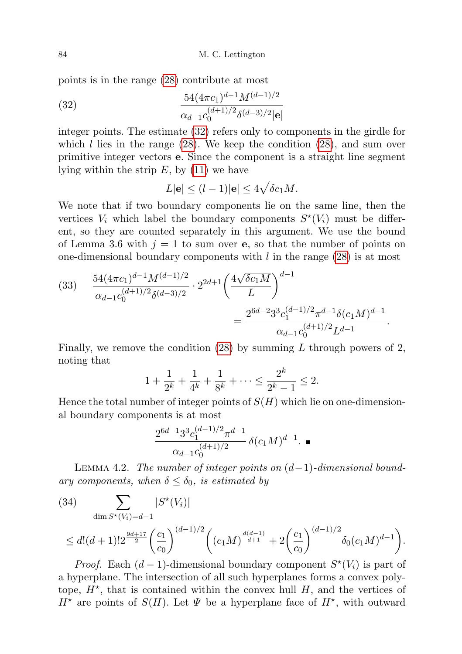points is in the range [\(28\)](#page-9-1) contribute at most

(32) 
$$
\frac{54(4\pi c_1)^{d-1}M^{(d-1)/2}}{\alpha_{d-1}c_0^{(d+1)/2}\delta^{(d-3)/2}|\mathbf{e}|}
$$

integer points. The estimate [\(32\)](#page-11-0) refers only to components in the girdle for which l lies in the range  $(28)$ . We keep the condition  $(28)$ , and sum over primitive integer vectors e. Since the component is a straight line segment lying within the strip  $E$ , by  $(11)$  we have

<span id="page-11-0"></span>
$$
L|\mathbf{e}| \leq (l-1)|\mathbf{e}| \leq 4\sqrt{\delta c_1 M}.
$$

We note that if two boundary components lie on the same line, then the vertices  $V_i$  which label the boundary components  $S^*(V_i)$  must be different, so they are counted separately in this argument. We use the bound of Lemma 3.6 with  $j = 1$  to sum over **e**, so that the number of points on one-dimensional boundary components with  $l$  in the range  $(28)$  is at most

(33) 
$$
\frac{54(4\pi c_1)^{d-1}M^{(d-1)/2}}{\alpha_{d-1}c_0^{(d+1)/2}\delta^{(d-3)/2}} \cdot 2^{2d+1} \left(\frac{4\sqrt{\delta c_1 M}}{L}\right)^{d-1} = \frac{2^{6d-2}3^3c_1^{(d-1)/2}\pi^{d-1}\delta(c_1M)^{d-1}}{\alpha_{d-1}c_0^{(d+1)/2}L^{d-1}}.
$$

Finally, we remove the condition  $(28)$  by summing L through powers of 2, noting that

$$
1 + \frac{1}{2^k} + \frac{1}{4^k} + \frac{1}{8^k} + \dots \le \frac{2^k}{2^k - 1} \le 2.
$$

Hence the total number of integer points of  $S(H)$  which lie on one-dimensional boundary components is at most

$$
\frac{2^{6d-1}3^3c_1^{(d-1)/2}\pi^{d-1}}{\alpha_{d-1}c_0^{(d+1)/2}}\,\delta(c_1M)^{d-1}.\n\equiv
$$

LEMMA 4.2. The number of integer points on  $(d-1)$ -dimensional boundary components, when  $\delta \leq \delta_0$ , is estimated by

<span id="page-11-1"></span> $(34)$   $\sum$ dim  $S^*(V_i)=d-1$  $|S^{\star}(V_i)|$  $\leq d!(d+1)!2^{\frac{9d+17}{2}}\left(\frac{c_1}{c_1}\right)$  $c_0$  $\bigwedge^{(d-1)/2}$  $(c_1M)^{\frac{d(d-1)}{d+1}}+2\left(\frac{c_1}{a}\right)$  $c_0$  $\bigwedge^{(d-1)/2}$  $\delta_0(c_1M)^{d-1}$ .

*Proof.* Each  $(d-1)$ -dimensional boundary component  $S^*(V_i)$  is part of a hyperplane. The intersection of all such hyperplanes forms a convex polytope,  $H^*$ , that is contained within the convex hull  $H$ , and the vertices of  $H^*$  are points of  $S(H)$ . Let  $\Psi$  be a hyperplane face of  $H^*$ , with outward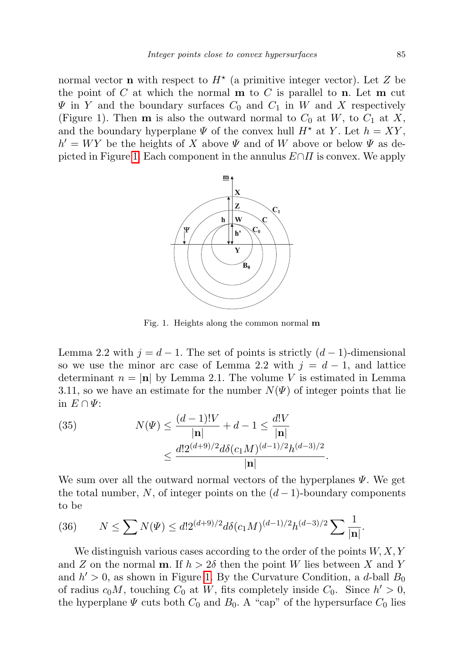normal vector **n** with respect to  $H^*$  (a primitive integer vector). Let Z be the point of C at which the normal  $\mathbf m$  to C is parallel to  $\mathbf n$ . Let  $\mathbf m$  cut  $\Psi$  in Y and the boundary surfaces  $C_0$  and  $C_1$  in W and X respectively (Figure 1). Then **m** is also the outward normal to  $C_0$  at  $W$ , to  $C_1$  at  $X$ , and the boundary hyperplane  $\Psi$  of the convex hull  $H^*$  at Y. Let  $h = XY$ ,  $h' = WY$  be the heights of X above  $\Psi$  and of W above or below  $\Psi$  as de-picted in Figure [1.](#page-12-0) Each component in the annulus  $E \cap \Pi$  is convex. We apply



<span id="page-12-0"></span>Fig. 1. Heights along the common normal m

Lemma 2.2 with  $j = d - 1$ . The set of points is strictly  $(d - 1)$ -dimensional so we use the minor arc case of Lemma 2.2 with  $j = d - 1$ , and lattice determinant  $n = |\mathbf{n}|$  by Lemma 2.1. The volume V is estimated in Lemma 3.11, so we have an estimate for the number  $N(\Psi)$  of integer points that lie in  $E \cap \Psi$ :

<span id="page-12-2"></span>(35) 
$$
N(\Psi) \leq \frac{(d-1)!V}{|\mathbf{n}|} + d - 1 \leq \frac{d!V}{|\mathbf{n}|} \leq \frac{d!2^{(d+9)/2}d\delta(c_1M)^{(d-1)/2}h^{(d-3)/2}}{|\mathbf{n}|}
$$

We sum over all the outward normal vectors of the hyperplanes  $\Psi$ . We get the total number, N, of integer points on the  $(d-1)$ -boundary components to be

.

<span id="page-12-1"></span>(36) 
$$
N \le \sum N(\Psi) \le d! 2^{(d+9)/2} d\delta(c_1 M)^{(d-1)/2} h^{(d-3)/2} \sum \frac{1}{|\mathbf{n}|}.
$$

We distinguish various cases according to the order of the points  $W, X, Y$ and Z on the normal **m**. If  $h > 2\delta$  then the point W lies between X and Y and  $h' > 0$ , as shown in Figure [1.](#page-12-0) By the Curvature Condition, a d-ball  $B_0$ of radius  $c_0 M$ , touching  $C_0$  at W, fits completely inside  $C_0$ . Since  $h' > 0$ , the hyperplane  $\Psi$  cuts both  $C_0$  and  $B_0$ . A "cap" of the hypersurface  $C_0$  lies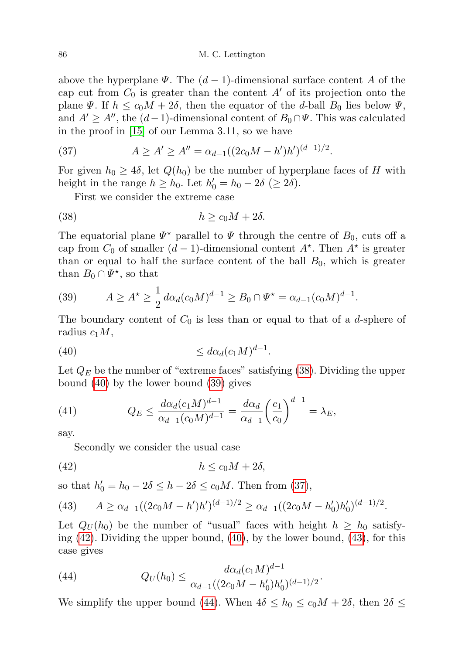above the hyperplane  $\Psi$ . The  $(d-1)$ -dimensional surface content A of the cap cut from  $C_0$  is greater than the content A' of its projection onto the plane  $\Psi$ . If  $h \leq c_0 M + 2\delta$ , then the equator of the d-ball  $B_0$  lies below  $\Psi$ , and  $A' \geq A''$ , the  $(d-1)$ -dimensional content of  $B_0 \cap \Psi$ . This was calculated in the proof in [\[15\]](#page-28-7) of our Lemma 3.11, so we have

<span id="page-13-3"></span>(37) 
$$
A \ge A' \ge A'' = \alpha_{d-1}((2c_0M - h')h')^{(d-1)/2}.
$$

For given  $h_0 \geq 4\delta$ , let  $Q(h_0)$  be the number of hyperplane faces of H with height in the range  $h \geq h_0$ . Let  $h'_0 = h_0 - 2\delta \ (\geq 2\delta)$ .

<span id="page-13-0"></span>First we consider the extreme case

$$
(38) \t\t\t\t h \ge c_0 M + 2\delta.
$$

The equatorial plane  $\Psi^*$  parallel to  $\Psi$  through the centre of  $B_0$ , cuts off a cap from  $C_0$  of smaller  $(d-1)$ -dimensional content  $A^*$ . Then  $A^*$  is greater than or equal to half the surface content of the ball  $B_0$ , which is greater than  $B_0 \cap \Psi^*$ , so that

<span id="page-13-2"></span>(39) 
$$
A \ge A^* \ge \frac{1}{2} d\alpha_d (c_0 M)^{d-1} \ge B_0 \cap \Psi^* = \alpha_{d-1} (c_0 M)^{d-1}.
$$

The boundary content of  $C_0$  is less than or equal to that of a d-sphere of radius  $c_1M$ ,

<span id="page-13-1"></span>(40) ≤ dαd(c1M) d−1 .

Let  $Q_E$  be the number of "extreme faces" satisfying [\(38\)](#page-13-0). Dividing the upper bound [\(40\)](#page-13-1) by the lower bound [\(39\)](#page-13-2) gives

(41) 
$$
Q_E \le \frac{d\alpha_d (c_1 M)^{d-1}}{\alpha_{d-1} (c_0 M)^{d-1}} = \frac{d\alpha_d}{\alpha_{d-1}} \left(\frac{c_1}{c_0}\right)^{d-1} = \lambda_E,
$$

say.

<span id="page-13-4"></span>Secondly we consider the usual case

$$
(42) \t\t\t\t h \le c_0 M + 2\delta,
$$

so that  $h'_0 = h_0 - 2\delta \leq h - 2\delta \leq c_0 M$ . Then from [\(37\)](#page-13-3),

<span id="page-13-5"></span>(43) 
$$
A \ge \alpha_{d-1}((2c_0M - h')h')^{(d-1)/2} \ge \alpha_{d-1}((2c_0M - h'_0)h'_0)^{(d-1)/2}.
$$

Let  $Q_U(h_0)$  be the number of "usual" faces with height  $h \geq h_0$  satisfying [\(42\)](#page-13-4). Dividing the upper bound, [\(40\)](#page-13-1), by the lower bound, [\(43\)](#page-13-5), for this case gives

<span id="page-13-6"></span>(44) 
$$
Q_U(h_0) \leq \frac{d\alpha_d(c_1M)^{d-1}}{\alpha_{d-1}((2c_0M - h'_0)h'_0)^{(d-1)/2}}.
$$

We simplify the upper bound [\(44\)](#page-13-6). When  $4\delta \leq h_0 \leq c_0 M + 2\delta$ , then  $2\delta \leq$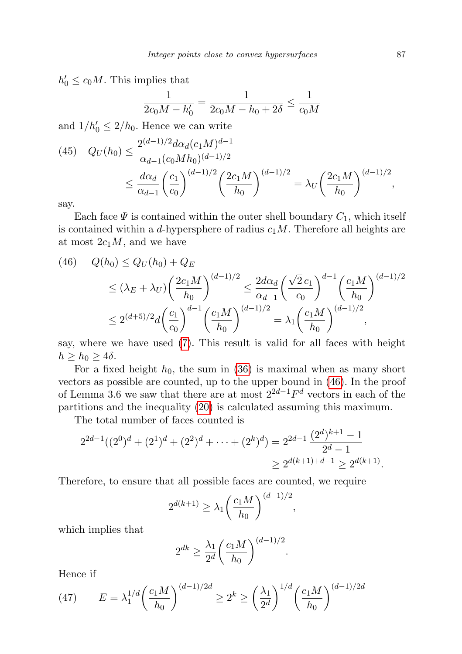$h'_0 \leq c_0 M$ . This implies that

$$
\frac{1}{2c_0M - h'_0} = \frac{1}{2c_0M - h_0 + 2\delta} \le \frac{1}{c_0M}
$$

and  $1/h'_0 \leq 2/h_0$ . Hence we can write

(45) 
$$
Q_U(h_0) \le \frac{2^{(d-1)/2} d\alpha_d (c_1 M)^{d-1}}{\alpha_{d-1} (c_0 M h_0)^{(d-1)/2}} \le \frac{d\alpha_d}{\alpha_{d-1}} \left(\frac{c_1}{c_0}\right)^{(d-1)/2} \left(\frac{2c_1 M}{h_0}\right)^{(d-1)/2} = \lambda_U \left(\frac{2c_1 M}{h_0}\right)^{(d-1)/2},
$$

say.

Each face  $\Psi$  is contained within the outer shell boundary  $C_1$ , which itself is contained within a d-hypersphere of radius  $c_1M$ . Therefore all heights are at most  $2c<sub>1</sub>M$ , and we have

<span id="page-14-0"></span>(46) 
$$
Q(h_0) \le Q_U(h_0) + Q_E
$$
  
\n
$$
\le (\lambda_E + \lambda_U) \left(\frac{2c_1 M}{h_0}\right)^{(d-1)/2} \le \frac{2d\alpha_d}{\alpha_{d-1}} \left(\frac{\sqrt{2}c_1}{c_0}\right)^{d-1} \left(\frac{c_1 M}{h_0}\right)^{(d-1)/2}
$$
  
\n
$$
\le 2^{(d+5)/2} d\left(\frac{c_1}{c_0}\right)^{d-1} \left(\frac{c_1 M}{h_0}\right)^{(d-1)/2} = \lambda_1 \left(\frac{c_1 M}{h_0}\right)^{(d-1)/2},
$$

say, where we have used [\(7\)](#page-1-2). This result is valid for all faces with height  $h \geq h_0 \geq 4\delta.$ 

For a fixed height  $h_0$ , the sum in [\(36\)](#page-12-1) is maximal when as many short vectors as possible are counted, up to the upper bound in [\(46\)](#page-14-0). In the proof of Lemma 3.6 we saw that there are at most  $2^{2d-1}F^d$  vectors in each of the partitions and the inequality [\(20\)](#page-5-1) is calculated assuming this maximum.

The total number of faces counted is

$$
2^{2d-1}((2^0)^d + (2^1)^d + (2^2)^d + \dots + (2^k)^d) = 2^{2d-1} \frac{(2^d)^{k+1} - 1}{2^d - 1}
$$
  
\n
$$
\geq 2^{d(k+1) + d - 1} \geq 2^{d(k+1)}.
$$

Therefore, to ensure that all possible faces are counted, we require

$$
2^{d(k+1)} \ge \lambda_1 \left(\frac{c_1 M}{h_0}\right)^{(d-1)/2},
$$

which implies that

$$
2^{dk}\geq \frac{\lambda_1}{2^d}\bigg(\frac{c_1M}{h_0}\bigg)^{(d-1)/2}.
$$

Hence if

<span id="page-14-1"></span>(47) 
$$
E = \lambda_1^{1/d} \left(\frac{c_1 M}{h_0}\right)^{(d-1)/2d} \ge 2^k \ge \left(\frac{\lambda_1}{2^d}\right)^{1/d} \left(\frac{c_1 M}{h_0}\right)^{(d-1)/2d}
$$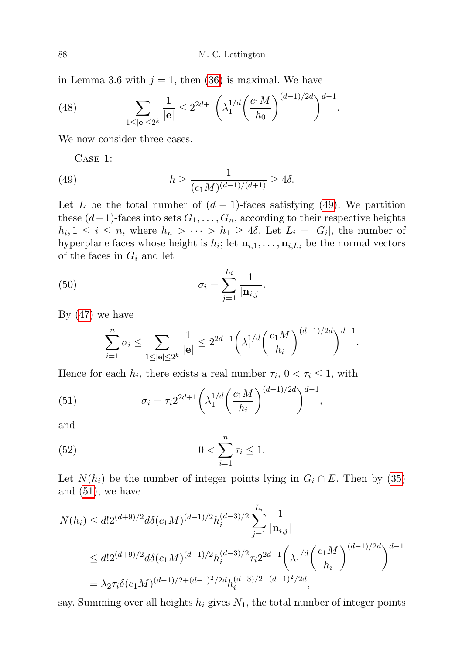in Lemma 3.6 with  $j = 1$ , then [\(36\)](#page-12-1) is maximal. We have

(48) 
$$
\sum_{1 \leq |\mathbf{e}| \leq 2^k} \frac{1}{|\mathbf{e}|} \leq 2^{2d+1} \left( \lambda_1^{1/d} \left( \frac{c_1 M}{h_0} \right)^{(d-1)/2d} \right)^{d-1}.
$$

We now consider three cases.

<span id="page-15-0"></span>Case 1:

(49) 
$$
h \ge \frac{1}{(c_1 M)^{(d-1)/(d+1)}} \ge 4\delta.
$$

Let L be the total number of  $(d-1)$ -faces satisfying [\(49\)](#page-15-0). We partition these  $(d-1)$ -faces into sets  $G_1, \ldots, G_n$ , according to their respective heights  $h_i, 1 \leq i \leq n$ , where  $h_n > \cdots > h_1 \geq 4\delta$ . Let  $L_i = |G_i|$ , the number of hyperplane faces whose height is  $h_i$ ; let  $\mathbf{n}_{i,1}, \ldots, \mathbf{n}_{i,L_i}$  be the normal vectors of the faces in  $G_i$  and let

(50) 
$$
\sigma_i = \sum_{j=1}^{L_i} \frac{1}{|\mathbf{n}_{i,j}|}.
$$

By [\(47\)](#page-14-1) we have

<span id="page-15-1"></span>
$$
\sum_{i=1}^{n} \sigma_i \le \sum_{1 \le |\mathbf{e}| \le 2^k} \frac{1}{|\mathbf{e}|} \le 2^{2d+1} \left(\lambda_1^{1/d} \left(\frac{c_1 M}{h_i}\right)^{(d-1)/2d}\right)^{d-1}
$$

.

Hence for each  $h_i$ , there exists a real number  $\tau_i$ ,  $0 < \tau_i \leq 1$ , with

(51) 
$$
\sigma_i = \tau_i 2^{2d+1} \left( \lambda_1^{1/d} \left( \frac{c_1 M}{h_i} \right)^{(d-1)/2d} \right)^{d-1},
$$

and

(52) 
$$
0 < \sum_{i=1}^{n} \tau_i \le 1.
$$

Let  $N(h_i)$  be the number of integer points lying in  $G_i \cap E$ . Then by [\(35\)](#page-12-2) and [\(51\)](#page-15-1), we have

$$
N(h_i) \leq d! 2^{(d+9)/2} d\delta(c_1 M)^{(d-1)/2} h_i^{(d-3)/2} \sum_{j=1}^{L_i} \frac{1}{|\mathbf{n}_{i,j}|}
$$
  
\n
$$
\leq d! 2^{(d+9)/2} d\delta(c_1 M)^{(d-1)/2} h_i^{(d-3)/2} \tau_i 2^{2d+1} \left(\lambda_1^{1/d} \left(\frac{c_1 M}{h_i}\right)^{(d-1)/2d}\right)^{d-1}
$$
  
\n
$$
= \lambda_2 \tau_i \delta(c_1 M)^{(d-1)/2 + (d-1)^2/2d} h_i^{(d-3)/2 - (d-1)^2/2d},
$$

say. Summing over all heights  $h_i$  gives  $N_1$ , the total number of integer points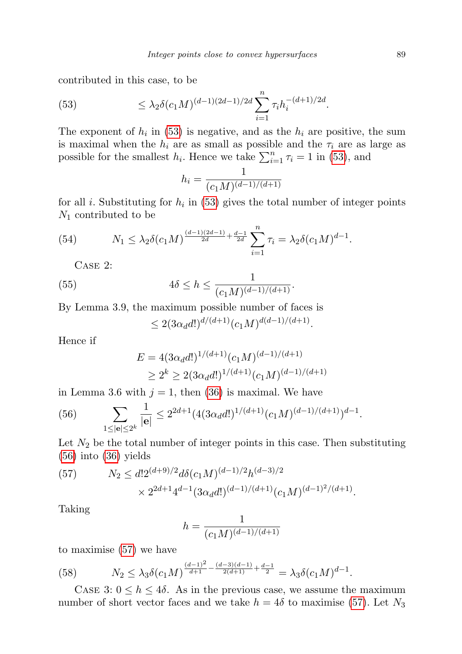contributed in this case, to be

<span id="page-16-0"></span>(53) 
$$
\leq \lambda_2 \delta(c_1 M)^{(d-1)(2d-1)/2d} \sum_{i=1}^n \tau_i h_i^{-(d+1)/2d}
$$

The exponent of  $h_i$  in [\(53\)](#page-16-0) is negative, and as the  $h_i$  are positive, the sum is maximal when the  $h_i$  are as small as possible and the  $\tau_i$  are as large as possible for the smallest  $h_i$ . Hence we take  $\sum_{i=1}^n \tau_i = 1$  in [\(53\)](#page-16-0), and

$$
h_i = \frac{1}{(c_1 M)^{(d-1)/(d+1)}}
$$

for all *i*. Substituting for  $h_i$  in [\(53\)](#page-16-0) gives the total number of integer points  $N_1$  contributed to be

(54) 
$$
N_1 \leq \lambda_2 \delta(c_1 M)^{\frac{(d-1)(2d-1)}{2d} + \frac{d-1}{2d}} \sum_{i=1}^n \tau_i = \lambda_2 \delta(c_1 M)^{d-1}.
$$

<span id="page-16-3"></span>Case 2:

(55) 
$$
4\delta \le h \le \frac{1}{(c_1 M)^{(d-1)/(d+1)}}.
$$

By Lemma 3.9, the maximum possible number of faces is

$$
\leq 2(3\alpha_d d!)^{d/(d+1)}(c_1M)^{d(d-1)/(d+1)}.
$$

Hence if

$$
E = 4(3\alpha_d d!)^{1/(d+1)} (c_1 M)^{(d-1)/(d+1)}
$$
  
 
$$
\geq 2^k \geq 2(3\alpha_d d!)^{1/(d+1)} (c_1 M)^{(d-1)/(d+1)}
$$

in Lemma 3.6 with  $j = 1$ , then [\(36\)](#page-12-1) is maximal. We have

<span id="page-16-1"></span>(56) 
$$
\sum_{1 \leq |\mathbf{e}| \leq 2^k} \frac{1}{|\mathbf{e}|} \leq 2^{2d+1} (4(3\alpha_d d!)^{1/(d+1)} (c_1 M)^{(d-1)/(d+1)})^{d-1}.
$$

Let  $N_2$  be the total number of integer points in this case. Then substituting  $(56)$  into  $(36)$  yields

<span id="page-16-2"></span>(57) 
$$
N_2 \le d! 2^{(d+9)/2} d\delta(c_1 M)^{(d-1)/2} h^{(d-3)/2} \times 2^{2d+1} 4^{d-1} (3 \alpha_d d!)^{(d-1)/(d+1)} (c_1 M)^{(d-1)^2/(d+1)}.
$$

Taking

$$
h = \frac{1}{(c_1 M)^{(d-1)/(d+1)}}
$$

to maximise [\(57\)](#page-16-2) we have

<span id="page-16-4"></span>(58) 
$$
N_2 \le \lambda_3 \delta(c_1 M)^{\frac{(d-1)^2}{d+1} - \frac{(d-3)(d-1)}{2(d+1)} + \frac{d-1}{2}} = \lambda_3 \delta(c_1 M)^{d-1}.
$$

CASE 3:  $0 \le h \le 4\delta$ . As in the previous case, we assume the maximum number of short vector faces and we take  $h = 4\delta$  to maximise [\(57\)](#page-16-2). Let  $N_3$ 

.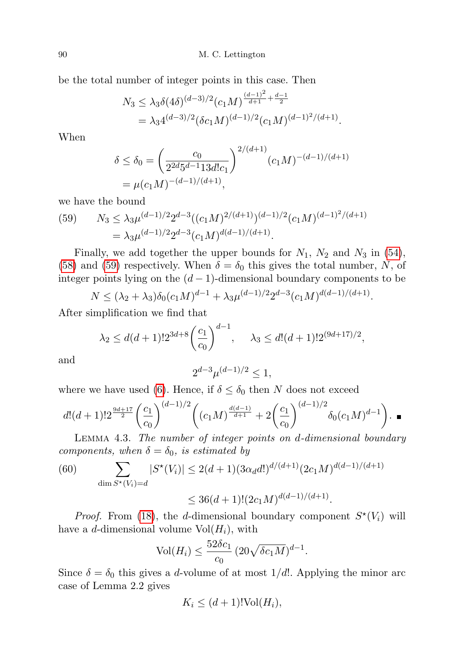90 M. C. Lettington

be the total number of integer points in this case. Then

$$
N_3 \le \lambda_3 \delta(4\delta)^{(d-3)/2} (c_1 M)^{\frac{(d-1)^2}{d+1} + \frac{d-1}{2}} = \lambda_3 4^{(d-3)/2} (\delta c_1 M)^{(d-1)/2} (c_1 M)^{(d-1)^2/(d+1)}.
$$

When

$$
\delta \le \delta_0 = \left(\frac{c_0}{2^{2d} 5^{d-1} 13d!c_1}\right)^{2/(d+1)} (c_1 M)^{-(d-1)/(d+1)}
$$
  
=  $\mu(c_1 M)^{-(d-1)/(d+1)},$ 

we have the bound

<span id="page-17-0"></span>(59) 
$$
N_3 \le \lambda_3 \mu^{(d-1)/2} 2^{d-3} ((c_1 M)^{2/(d+1)})^{(d-1)/2} (c_1 M)^{(d-1)^2/(d+1)}
$$

$$
= \lambda_3 \mu^{(d-1)/2} 2^{d-3} (c_1 M)^{d(d-1)/(d+1)}.
$$

Finally, we add together the upper bounds for  $N_1$ ,  $N_2$  and  $N_3$  in [\(54\)](#page-16-3), [\(58\)](#page-16-4) and [\(59\)](#page-17-0) respectively. When  $\delta = \delta_0$  this gives the total number, N, of integer points lying on the  $(d-1)$ -dimensional boundary components to be

$$
N \le (\lambda_2 + \lambda_3) \delta_0 (c_1 M)^{d-1} + \lambda_3 \mu^{(d-1)/2} 2^{d-3} (c_1 M)^{d(d-1)/(d+1)}.
$$

After simplification we find that

$$
\lambda_2 \le d(d+1)!2^{3d+8} \left(\frac{c_1}{c_0}\right)^{d-1}, \quad \lambda_3 \le d!(d+1)!2^{(9d+17)/2},
$$

and

$$
2^{d-3}\mu^{(d-1)/2}\leq 1,
$$

where we have used [\(6\)](#page-1-4). Hence, if  $\delta \leq \delta_0$  then N does not exceed

$$
d!(d+1)!2^{\frac{9d+17}{2}}\binom{c_1}{c_0}^{(d-1)/2}\left((c_1M)^{\frac{d(d-1)}{d+1}}+2\left(\frac{c_1}{c_0}\right)^{(d-1)/2}\delta_0(c_1M)^{d-1}\right). \blacksquare
$$

Lemma 4.3. The number of integer points on d-dimensional boundary components, when  $\delta = \delta_0$ , is estimated by

<span id="page-17-1"></span>(60) 
$$
\sum_{\dim S^*(V_i)=d} |S^*(V_i)| \le 2(d+1)(3\alpha_d d!)^{d/(d+1)} (2c_1 M)^{d(d-1)/(d+1)}
$$

$$
\le 36(d+1)!(2c_1 M)^{d(d-1)/(d+1)}.
$$

*Proof.* From [\(18\)](#page-5-2), the d-dimensional boundary component  $S^*(V_i)$  will have a d-dimensional volume  $Vol(H_i)$ , with

$$
Vol(H_i) \le \frac{52\delta c_1}{c_0} (20\sqrt{\delta c_1 M})^{d-1}.
$$

Since  $\delta = \delta_0$  this gives a d-volume of at most 1/d!. Applying the minor arc case of Lemma 2.2 gives

$$
K_i \le (d+1)! \text{Vol}(H_i),
$$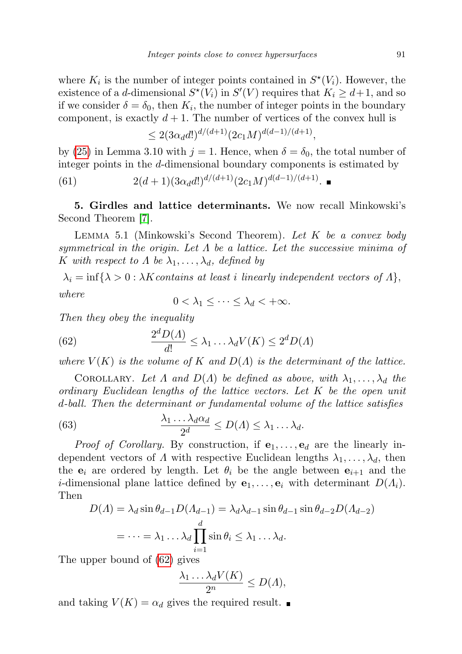where  $K_i$  is the number of integer points contained in  $S^*(V_i)$ . However, the existence of a d-dimensional  $S^*(V_i)$  in  $S'(V)$  requires that  $K_i \geq d+1$ , and so if we consider  $\delta = \delta_0$ , then  $K_i$ , the number of integer points in the boundary component, is exactly  $d+1$ . The number of vertices of the convex hull is

$$
\leq 2(3\alpha_d d!)^{d/(d+1)}(2c_1M)^{d(d-1)/(d+1)},
$$

by [\(25\)](#page-7-0) in Lemma 3.10 with  $j = 1$ . Hence, when  $\delta = \delta_0$ , the total number of integer points in the d-dimensional boundary components is estimated by

(61) 
$$
2(d+1)(3\alpha_d d!)^{d/(d+1)}(2c_1M)^{d(d-1)/(d+1)}.
$$

5. Girdles and lattice determinants. We now recall Minkowski's Second Theorem [\[7\]](#page-28-17).

LEMMA 5.1 (Minkowski's Second Theorem). Let  $K$  be a convex body symmetrical in the origin. Let  $\Lambda$  be a lattice. Let the successive minima of K with respect to  $\Lambda$  be  $\lambda_1, \ldots, \lambda_d$ , defined by

 $\lambda_i = \inf\{\lambda > 0 : \lambda K$  contains at least i linearly independent vectors of  $\Lambda\},$ where

<span id="page-18-0"></span>
$$
0 < \lambda_1 \leq \cdots \leq \lambda_d < +\infty.
$$

Then they obey the inequality

(62) 
$$
\frac{2^d D(\Lambda)}{d!} \leq \lambda_1 \dots \lambda_d V(K) \leq 2^d D(\Lambda)
$$

where  $V(K)$  is the volume of K and  $D(\Lambda)$  is the determinant of the lattice.

COROLLARY. Let  $\Lambda$  and  $D(\Lambda)$  be defined as above, with  $\lambda_1, \ldots, \lambda_d$  the ordinary Euclidean lengths of the lattice vectors. Let K be the open unit d-ball. Then the determinant or fundamental volume of the lattice satisfies

(63) 
$$
\frac{\lambda_1 \dots \lambda_d \alpha_d}{2^d} \le D(\Lambda) \le \lambda_1 \dots \lambda_d.
$$

*Proof of Corollary.* By construction, if  $e_1, \ldots, e_d$  are the linearly independent vectors of  $\Lambda$  with respective Euclidean lengths  $\lambda_1, \ldots, \lambda_d$ , then the  $e_i$  are ordered by length. Let  $\theta_i$  be the angle between  $e_{i+1}$  and the *i*-dimensional plane lattice defined by  $e_1, \ldots, e_i$  with determinant  $D(\Lambda_i)$ . Then

$$
D(\Lambda) = \lambda_d \sin \theta_{d-1} D(\Lambda_{d-1}) = \lambda_d \lambda_{d-1} \sin \theta_{d-1} \sin \theta_{d-2} D(\Lambda_{d-2})
$$
  
=  $\cdots = \lambda_1 \dots \lambda_d \prod_{i=1}^d \sin \theta_i \leq \lambda_1 \dots \lambda_d.$ 

The upper bound of [\(62\)](#page-18-0) gives

$$
\frac{\lambda_1 \dots \lambda_d V(K)}{2^n} \le D(\Lambda),
$$

and taking  $V(K) = \alpha_d$  gives the required result.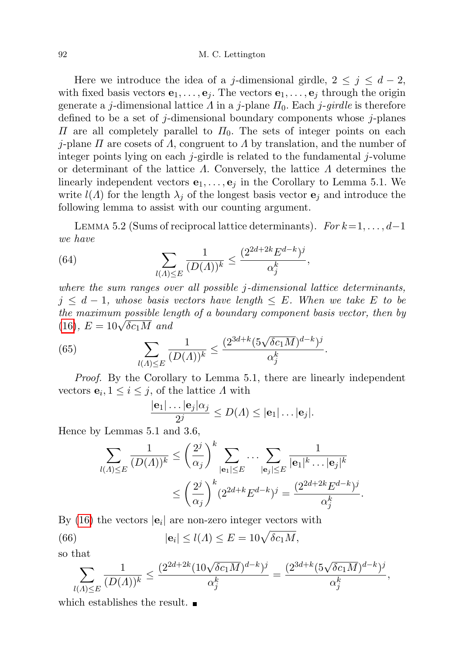Here we introduce the idea of a j-dimensional girdle,  $2 \leq j \leq d-2$ , with fixed basis vectors  $e_1, \ldots, e_i$ . The vectors  $e_1, \ldots, e_i$  through the origin generate a j-dimensional lattice  $\Lambda$  in a j-plane  $\Pi_0$ . Each j-girdle is therefore defined to be a set of j-dimensional boundary components whose j-planes  $\Pi$  are all completely parallel to  $\Pi_0$ . The sets of integer points on each j-plane  $\Pi$  are cosets of  $\Lambda$ , congruent to  $\Lambda$  by translation, and the number of integer points lying on each *j*-girdle is related to the fundamental *j*-volume or determinant of the lattice  $\Lambda$ . Conversely, the lattice  $\Lambda$  determines the linearly independent vectors  $e_1, \ldots, e_j$  in the Corollary to Lemma 5.1. We write  $l(\Lambda)$  for the length  $\lambda_j$  of the longest basis vector  $\mathbf{e}_j$  and introduce the following lemma to assist with our counting argument.

LEMMA 5.2 (Sums of reciprocal lattice determinants). For  $k=1,\ldots,d-1$ we have

(64) 
$$
\sum_{l(\Lambda) \le E} \frac{1}{(D(\Lambda))^k} \le \frac{(2^{2d+2k} E^{d-k})^j}{\alpha_j^k},
$$

where the sum ranges over all possible  $j$ -dimensional lattice determinants,  $j \leq d-1$ , whose basis vectors have length  $\leq E$ . When we take E to be the maximum possible length of a boundary component basis vector, then by *[\(16\)](#page-4-0)*,  $E = 10\sqrt{\delta c_1 M}$  and

(65) 
$$
\sum_{l(\Lambda) \le E} \frac{1}{(D(\Lambda))^k} \le \frac{(2^{3d+k}(5\sqrt{\delta c_1 M})^{d-k})^j}{\alpha_j^k}.
$$

Proof. By the Corollary to Lemma 5.1, there are linearly independent vectors  $\mathbf{e}_i, 1 \leq i \leq j$ , of the lattice  $\Lambda$  with

$$
\frac{|\mathbf{e}_1| \dots |\mathbf{e}_j| \alpha_j}{2^j} \le D(\Lambda) \le |\mathbf{e}_1| \dots |\mathbf{e}_j|.
$$

Hence by Lemmas 5.1 and 3.6,

$$
\sum_{l(\Lambda)\leq E} \frac{1}{(D(\Lambda))^k} \leq \left(\frac{2^j}{\alpha_j}\right)^k \sum_{|\mathbf{e}_1|\leq E} \dots \sum_{|\mathbf{e}_j|\leq E} \frac{1}{|\mathbf{e}_1|^k \dots |\mathbf{e}_j|^k}
$$

$$
\leq \left(\frac{2^j}{\alpha_j}\right)^k (2^{2d+k} E^{d-k})^j = \frac{(2^{2d+2k} E^{d-k})^j}{\alpha_j^k}.
$$

By [\(16\)](#page-4-0) the vectors  $|e_i|$  are non-zero integer vectors with

(66) 
$$
|\mathbf{e}_i| \le l(\Lambda) \le E = 10\sqrt{\delta c_1 M},
$$

so that

$$
\sum_{l(A)\leq E} \frac{1}{(D(A))^k} \leq \frac{(2^{2d+2k}(10\sqrt{\delta c_1 M})^{d-k})^j}{\alpha_j^k} = \frac{(2^{3d+k}(5\sqrt{\delta c_1 M})^{d-k})^j}{\alpha_j^k},
$$

which establishes the result.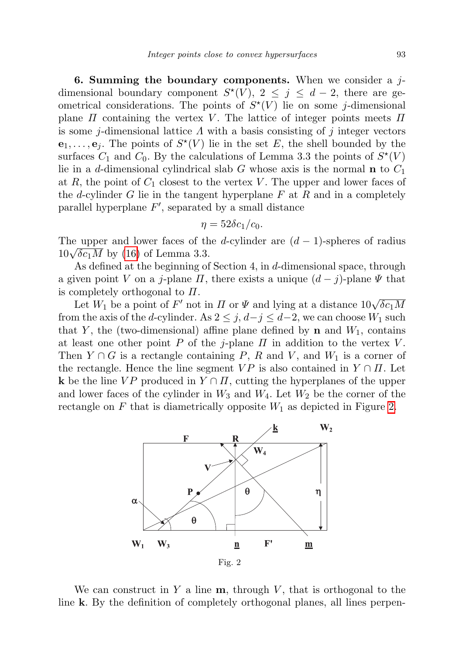**6. Summing the boundary components.** When we consider a  $j$ dimensional boundary component  $S^*(V)$ ,  $2 \leq j \leq d-2$ , there are geometrical considerations. The points of  $S^*(V)$  lie on some j-dimensional plane  $\Pi$  containing the vertex V. The lattice of integer points meets  $\Pi$ is some *j*-dimensional lattice  $\Lambda$  with a basis consisting of j integer vectors  $e_1, \ldots, e_j$ . The points of  $S^*(V)$  lie in the set E, the shell bounded by the surfaces  $C_1$  and  $C_0$ . By the calculations of Lemma 3.3 the points of  $S^{\star}(V)$ lie in a d-dimensional cylindrical slab G whose axis is the normal  $\bf{n}$  to  $C_1$ at  $R$ , the point of  $C_1$  closest to the vertex  $V$ . The upper and lower faces of the d-cylinder  $G$  lie in the tangent hyperplane  $F$  at  $R$  and in a completely parallel hyperplane  $F'$ , separated by a small distance

$$
\eta = 52\delta c_1/c_0.
$$

The upper and lower faces of the d-cylinder are  $(d-1)$ -spheres of radius The upper and lower laces of the  $10\sqrt{\delta c_1 M}$  by [\(16\)](#page-4-0) of Lemma 3.3.

As defined at the beginning of Section 4, in d-dimensional space, through a given point V on a j-plane  $\Pi$ , there exists a unique  $(d-j)$ -plane  $\Psi$  that is completely orthogonal to  $\Pi$ .

ompletely orthogonal to  $\Pi$ .<br>Let  $W_1$  be a point of  $F'$  not in  $\Pi$  or  $\Psi$  and lying at a distance  $10\sqrt{\delta c_1M}$ from the axis of the d-cylinder. As  $2 \leq j$ ,  $d-j \leq d-2$ , we can choose  $W_1$  such that Y, the (two-dimensional) affine plane defined by **n** and  $W_1$ , contains at least one other point P of the j-plane  $\Pi$  in addition to the vertex V. Then  $Y \cap G$  is a rectangle containing P, R and V, and  $W_1$  is a corner of the rectangle. Hence the line segment  $VP$  is also contained in  $Y \cap \Pi$ . Let **k** be the line VP produced in  $Y \cap \Pi$ , cutting the hyperplanes of the upper and lower faces of the cylinder in  $W_3$  and  $W_4$ . Let  $W_2$  be the corner of the rectangle on F that is diametrically opposite  $W_1$  as depicted in Figure [2.](#page-20-0)

<span id="page-20-0"></span>

We can construct in Y a line  $\mathbf{m}$ , through V, that is orthogonal to the line k. By the definition of completely orthogonal planes, all lines perpen-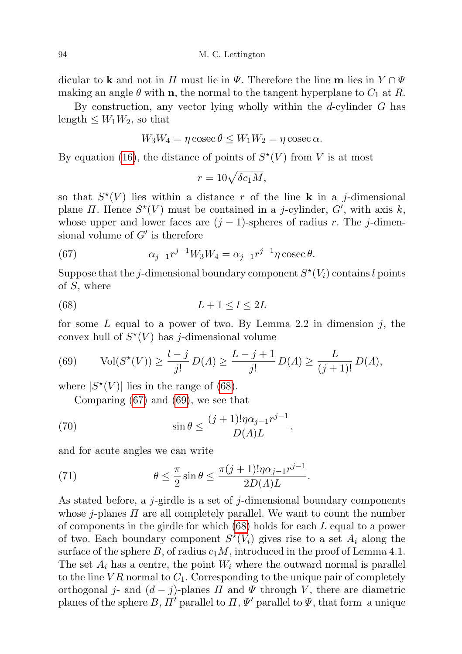dicular to **k** and not in  $\Pi$  must lie in  $\Psi$ . Therefore the line **m** lies in  $Y \cap \Psi$ making an angle  $\theta$  with **n**, the normal to the tangent hyperplane to  $C_1$  at R.

By construction, any vector lying wholly within the  $d$ -cylinder  $G$  has length  $\leq W_1W_2$ , so that

$$
W_3 W_4 = \eta \csc \theta \le W_1 W_2 = \eta \csc \alpha.
$$

By equation [\(16\)](#page-4-0), the distance of points of  $S^*(V)$  from V is at most

<span id="page-21-1"></span><span id="page-21-0"></span>
$$
r = 10\sqrt{\delta c_1 M},
$$

so that  $S^*(V)$  lies within a distance r of the line **k** in a j-dimensional plane  $\Pi$ . Hence  $S^*(V)$  must be contained in a j-cylinder,  $G'$ , with axis k, whose upper and lower faces are  $(j-1)$ -spheres of radius r. The j-dimensional volume of  $G'$  is therefore

(67) 
$$
\alpha_{j-1} r^{j-1} W_3 W_4 = \alpha_{j-1} r^{j-1} \eta \csc \theta.
$$

Suppose that the j-dimensional boundary component  $S^*(V_i)$  contains l points of S, where

$$
(68)\qquad \qquad L+1 \le l \le 2L
$$

for some  $L$  equal to a power of two. By Lemma 2.2 in dimension  $j$ , the convex hull of  $S^*(V)$  has j-dimensional volume

<span id="page-21-2"></span>(69) 
$$
\text{Vol}(S^*(V)) \ge \frac{l-j}{j!} D(\Lambda) \ge \frac{L-j+1}{j!} D(\Lambda) \ge \frac{L}{(j+1)!} D(\Lambda),
$$

where  $|S^*(V)|$  lies in the range of [\(68\)](#page-21-0).

Comparing [\(67\)](#page-21-1) and [\(69\)](#page-21-2), we see that

(70) 
$$
\sin \theta \le \frac{(j+1)! \eta \alpha_{j-1} r^{j-1}}{D(\Lambda) L},
$$

and for acute angles we can write

(71) 
$$
\theta \leq \frac{\pi}{2} \sin \theta \leq \frac{\pi (j+1)! \eta \alpha_{j-1} r^{j-1}}{2D(\Lambda) L}.
$$

As stated before, a j-girdle is a set of j-dimensional boundary components whose j-planes  $\Pi$  are all completely parallel. We want to count the number of components in the girdle for which  $(68)$  holds for each L equal to a power of two. Each boundary component  $S^*(V_i)$  gives rise to a set  $A_i$  along the surface of the sphere B, of radius  $c_1M$ , introduced in the proof of Lemma 4.1. The set  $A_i$  has a centre, the point  $W_i$  where the outward normal is parallel to the line  $VR$  normal to  $C_1$ . Corresponding to the unique pair of completely orthogonal j- and  $(d - j)$ -planes  $\Pi$  and  $\Psi$  through V, there are diametric planes of the sphere B,  $\Pi'$  parallel to  $\Pi$ ,  $\Psi'$  parallel to  $\Psi$ , that form a unique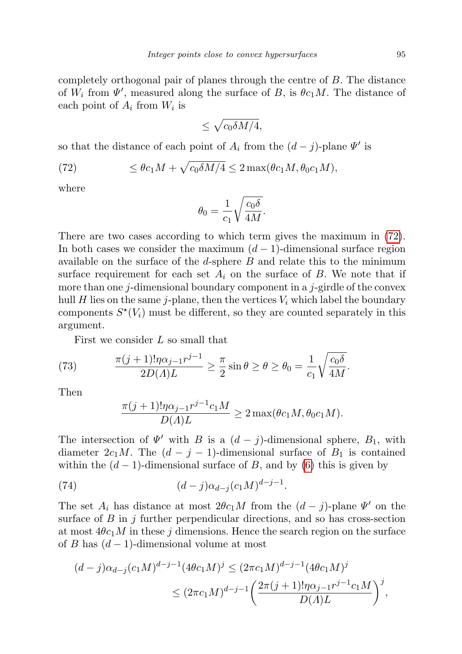completely orthogonal pair of planes through the centre of B. The distance of  $W_i$  from  $\Psi'$ , measured along the surface of B, is  $\theta c_1 M$ . The distance of each point of  $A_i$  from  $W_i$  is

$$
\leq \sqrt{c_0 \delta M/4},
$$

so that the distance of each point of  $A_i$  from the  $(d-j)$ -plane  $\Psi'$  is

<span id="page-22-0"></span>(72) 
$$
\leq \theta c_1 M + \sqrt{c_0 \delta M/4} \leq 2 \max(\theta c_1 M, \theta_0 c_1 M),
$$

where

$$
\theta_0 = \frac{1}{c_1} \sqrt{\frac{c_0 \delta}{4M}}.
$$

There are two cases according to which term gives the maximum in [\(72\)](#page-22-0). In both cases we consider the maximum  $(d-1)$ -dimensional surface region available on the surface of the d-sphere  $B$  and relate this to the minimum surface requirement for each set  $A_i$  on the surface of B. We note that if more than one j-dimensional boundary component in a j-girdle of the convex hull H lies on the same j-plane, then the vertices  $V_i$  which label the boundary components  $S^*(V_i)$  must be different, so they are counted separately in this argument.

First we consider L so small that

(73) 
$$
\frac{\pi(j+1)!\eta\alpha_{j-1}r^{j-1}}{2D(A)L} \geq \frac{\pi}{2}\sin\theta \geq \theta \geq \theta_0 = \frac{1}{c_1}\sqrt{\frac{c_0\delta}{4M}}.
$$

Then

<span id="page-22-1"></span>
$$
\frac{\pi(j+1)!\eta\alpha_{j-1}r^{j-1}c_1M}{D(\Lambda)L} \ge 2\max(\theta c_1M, \theta_0c_1M).
$$

The intersection of  $\Psi'$  with B is a  $(d - j)$ -dimensional sphere, B<sub>1</sub>, with diameter  $2c_1M$ . The  $(d - j - 1)$ -dimensional surface of  $B_1$  is contained within the  $(d-1)$ -dimensional surface of B, and by [\(6\)](#page-1-4) this is given by

(74) 
$$
(d-j)\alpha_{d-j}(c_1M)^{d-j-1}.
$$

The set  $A_i$  has distance at most  $2\theta c_1 M$  from the  $(d-j)$ -plane  $\Psi'$  on the surface of  $B$  in j further perpendicular directions, and so has cross-section at most  $4\theta c_1M$  in these j dimensions. Hence the search region on the surface of B has  $(d-1)$ -dimensional volume at most

$$
(d-j)\alpha_{d-j}(c_1M)^{d-j-1}(4\theta c_1M)^j \le (2\pi c_1M)^{d-j-1}(4\theta c_1M)^j
$$
  

$$
\le (2\pi c_1M)^{d-j-1}\left(\frac{2\pi(j+1)! \eta \alpha_{j-1}r^{j-1}c_1M}{D(\Lambda)L}\right)^j,
$$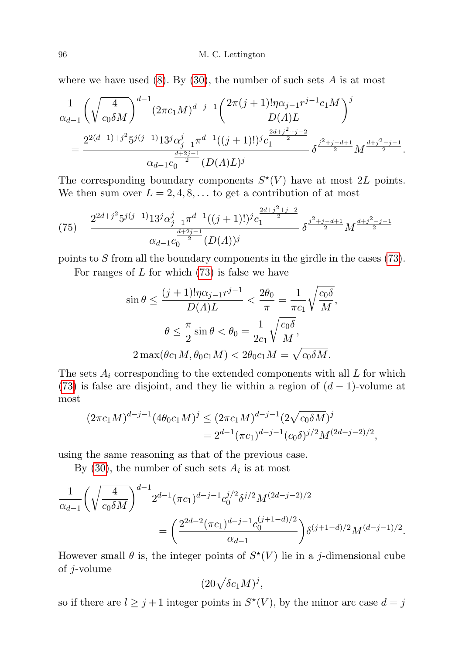where we have used  $(8)$ . By  $(30)$ , the number of such sets A is at most

$$
\begin{split} &\frac{1}{\alpha_{d-1}}\bigg(\sqrt{\frac{4}{c_0\delta M}}\bigg)^{d-1}(2\pi c_1 M)^{d-j-1}\bigg(\frac{2\pi(j+1)!\eta\alpha_{j-1}r^{j-1}c_1M}{D(\Lambda)L}\bigg)^j\\ &=\frac{2^{2(d-1)+j^2}5^{j(j-1)}13^j\alpha_{j-1}^j\pi^{d-1}((j+1)!)^jc_1^{\frac{2d+j^2+j-2}{2}}}{\alpha_{d-1}c_0^{\frac{d+2j-1}{2}}(D(\Lambda)L)^j}\delta^{\frac{j^2+j-d+1}{2}}M^{\frac{d+j^2-j-1}{2}}. \end{split}
$$

The corresponding boundary components  $S^{\star}(V)$  have at most 2L points. We then sum over  $L = 2, 4, 8, \ldots$  to get a contribution of at most

<span id="page-23-0"></span>(75) 
$$
\frac{2^{2d+j^2}5^{j(j-1)}13^j\alpha_{j-1}^j\pi^{d-1}((j+1)!)^jc_1^{\frac{2d+j^2+j-2}{2}}}{\alpha_{d-1}c_0^{\frac{d+2j-1}{2}}(D(\Lambda))^j}\delta^{\frac{j^2+j-d+1}{2}}M^{\frac{d+j^2-j-1}{2}}
$$

points to S from all the boundary components in the girdle in the cases [\(73\)](#page-22-1).

For ranges of  $L$  for which  $(73)$  is false we have

$$
\sin \theta \le \frac{(j+1)!\eta \alpha_{j-1}r^{j-1}}{D(\Lambda)L} < \frac{2\theta_0}{\pi} = \frac{1}{\pi c_1} \sqrt{\frac{c_0 \delta}{M}},
$$
\n
$$
\theta \le \frac{\pi}{2} \sin \theta < \theta_0 = \frac{1}{2c_1} \sqrt{\frac{c_0 \delta}{M}},
$$
\n
$$
2 \max(\theta c_1 M, \theta_0 c_1 M) < 2\theta_0 c_1 M = \sqrt{c_0 \delta M}.
$$

The sets  $A_i$  corresponding to the extended components with all  $L$  for which [\(73\)](#page-22-1) is false are disjoint, and they lie within a region of  $(d-1)$ -volume at most

$$
(2\pi c_1 M)^{d-j-1} (4\theta_0 c_1 M)^j \le (2\pi c_1 M)^{d-j-1} (2\sqrt{c_0 \delta M})^j
$$
  
=  $2^{d-1} (\pi c_1)^{d-j-1} (c_0 \delta)^{j/2} M^{(2d-j-2)/2},$ 

using the same reasoning as that of the previous case.

By  $(30)$ , the number of such sets  $A_i$  is at most

$$
\frac{1}{\alpha_{d-1}} \left( \sqrt{\frac{4}{c_0 \delta M}} \right)^{d-1} 2^{d-1} (\pi c_1)^{d-j-1} c_0^{j/2} \delta^{j/2} M^{(2d-j-2)/2} \n= \left( \frac{2^{2d-2} (\pi c_1)^{d-j-1} c_0^{(j+1-d)/2}}{\alpha_{d-1}} \right) \delta^{(j+1-d)/2} M^{(d-j-1)/2}.
$$

However small  $\theta$  is, the integer points of  $S^*(V)$  lie in a j-dimensional cube of j-volume

$$
(20\sqrt{\delta c_1 M})^j,
$$

so if there are  $l \geq j+1$  integer points in  $S^*(V)$ , by the minor arc case  $d = j$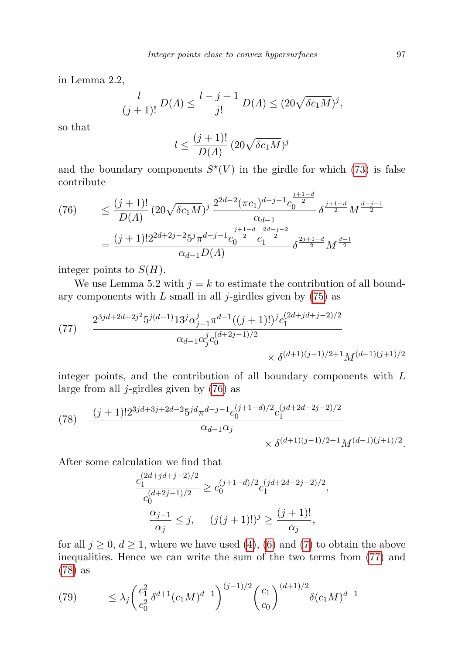in Lemma 2.2,

$$
\frac{l}{(j+1)!} D(A) \le \frac{l-j+1}{j!} D(A) \le (20\sqrt{\delta c_1 M})^j,
$$

so that

$$
l \le \frac{(j+1)!}{D(\Lambda)} \left(20\sqrt{\delta c_1 M}\right)^j
$$

and the boundary components  $S^*(V)$  in the girdle for which [\(73\)](#page-22-1) is false contribute

<span id="page-24-0"></span>(76) 
$$
\leq \frac{(j+1)!}{D(\Lambda)} \left(20\sqrt{\delta c_1 M}\right)^j \frac{2^{2d-2} (\pi c_1)^{d-j-1} c_0^{\frac{j+1-d}{2}}}{\alpha_{d-1}} \delta^{\frac{j+1-d}{2}} M^{\frac{d-j-1}{2}}
$$

$$
= \frac{(j+1)! 2^{2d+2j-2} 5^j \pi^{d-j-1} c_0^{\frac{j+1-d}{2}} c_1^{\frac{2d-j-2}{2}}}{\alpha_{d-1} D(\Lambda)} \delta^{\frac{2j+1-d}{2}} M^{\frac{d-1}{2}}
$$

integer points to  $S(H)$ .

We use Lemma 5.2 with  $j = k$  to estimate the contribution of all boundary components with L small in all j-girdles given by  $(75)$  as

<span id="page-24-1"></span>(77) 
$$
\frac{2^{3j d+2d+2j^2} 5^{j(d-1)} 13^j \alpha_{j-1}^j \pi^{d-1}((j+1)!)^j c_1^{(2d+jd+j-2)/2}}{\alpha_{d-1} \alpha_j^j c_0^{(d+2j-1)/2}} \times \delta^{(d+1)(j-1)/2+1} M^{(d-1)(j+1)/2}
$$

integer points, and the contribution of all boundary components with L large from all  $j$ -girdles given by  $(76)$  as

<span id="page-24-2"></span>(78) 
$$
\frac{(j+1)!2^{3j d+3j+2d-2}5^{jd}\pi^{d-j-1}c_0^{(j+1-d)/2}c_1^{(jd+2d-2j-2)/2}}{\alpha_{d-1}\alpha_j} \times \delta^{(d+1)(j-1)/2+1}M^{(d-1)(j+1)/2}.
$$

After some calculation we find that

$$
\frac{c_1^{(2d+jd+j-2)/2}}{c_0^{(d+2j-1)/2}} \ge c_0^{(j+1-d)/2} c_1^{(jd+2d-2j-2)/2},
$$
  

$$
\frac{\alpha_{j-1}}{\alpha_j} \le j, \quad (j(j+1)!)^j \ge \frac{(j+1)!}{\alpha_j},
$$

for all  $j \geq 0, d \geq 1$ , where we have used [\(4\)](#page-1-3), [\(6\)](#page-1-4) and [\(7\)](#page-1-2) to obtain the above inequalities. Hence we can write the sum of the two terms from [\(77\)](#page-24-1) and [\(78\)](#page-24-2) as

<span id="page-24-3"></span>(79) 
$$
\leq \lambda_j \left( \frac{c_1^2}{c_0^2} \delta^{d+1} (c_1 M)^{d-1} \right)^{(j-1)/2} \left( \frac{c_1}{c_0} \right)^{(d+1)/2} \delta(c_1 M)^{d-1}
$$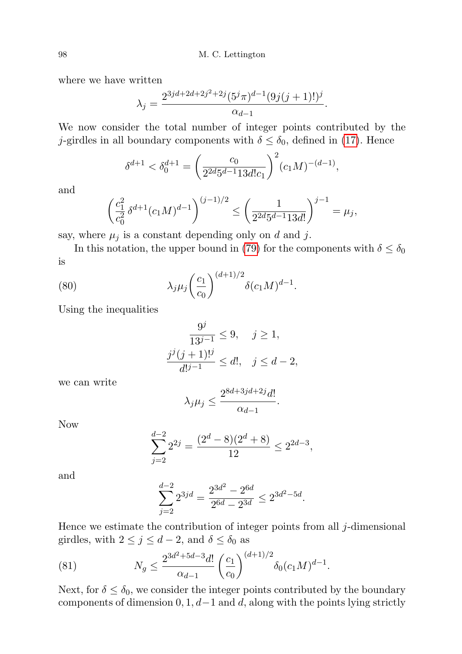where we have written

$$
\lambda_j = \frac{2^{3jd + 2d + 2j^2 + 2j} (5^j \pi)^{d-1} (9j(j+1)!)^j}{\alpha_{d-1}}.
$$

We now consider the total number of integer points contributed by the j-girdles in all boundary components with  $\delta \leq \delta_0$ , defined in [\(17\)](#page-5-0). Hence

$$
\delta^{d+1} < \delta_0^{d+1} = \left(\frac{c_0}{2^{2d} 5^{d-1} 13d! c_1}\right)^2 (c_1 M)^{-(d-1)},
$$

and

$$
\left(\frac{c_1^2}{c_0^2} \delta^{d+1} (c_1 M)^{d-1}\right)^{(j-1)/2} \le \left(\frac{1}{2^{2d} 5^{d-1} 13d!}\right)^{j-1} = \mu_j,
$$

say, where  $\mu_j$  is a constant depending only on d and j.

In this notation, the upper bound in [\(79\)](#page-24-3) for the components with  $\delta \leq \delta_0$ is

(80) 
$$
\lambda_j \mu_j \left(\frac{c_1}{c_0}\right)^{(d+1)/2} \delta(c_1 M)^{d-1}.
$$

Using the inequalities

$$
\frac{9^j}{13^{j-1}} \le 9, \quad j \ge 1,
$$
  

$$
\frac{j^j(j+1)!^j}{d!^{j-1}} \le d!, \quad j \le d-2,
$$

we can write

$$
\lambda_j \mu_j \le \frac{2^{8d+3jd+2j}d!}{\alpha_{d-1}}.
$$

Now

$$
\sum_{j=2}^{d-2} 2^{2j} = \frac{(2^d - 8)(2^d + 8)}{12} \le 2^{2d-3},
$$

and

$$
\sum_{j=2}^{d-2} 2^{3jd} = \frac{2^{3d^2} - 2^{6d}}{2^{6d} - 2^{3d}} \le 2^{3d^2 - 5d}.
$$

Hence we estimate the contribution of integer points from all  $j$ -dimensional girdles, with  $2 \leq j \leq d-2$ , and  $\delta \leq \delta_0$  as

<span id="page-25-0"></span>(81) 
$$
N_g \le \frac{2^{3d^2 + 5d - 3}d!}{\alpha_{d-1}} \left(\frac{c_1}{c_0}\right)^{(d+1)/2} \delta_0(c_1M)^{d-1}.
$$

Next, for  $\delta \leq \delta_0$ , we consider the integer points contributed by the boundary components of dimension  $0, 1, d-1$  and d, along with the points lying strictly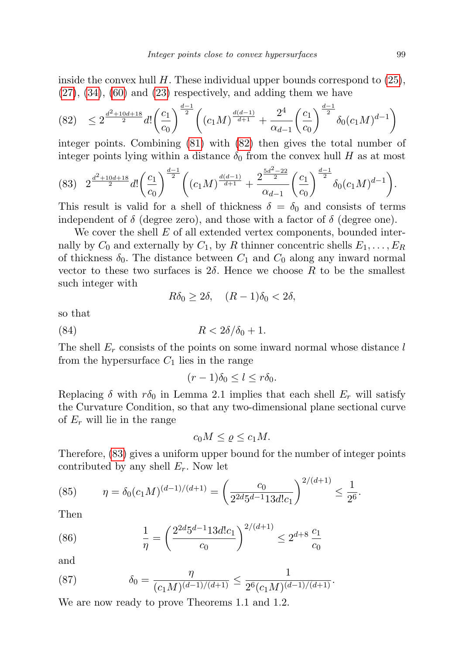inside the convex hull  $H$ . These individual upper bounds correspond to  $(25)$ ,  $(27), (34), (60)$  $(27), (34), (60)$  $(27), (34), (60)$  $(27), (34), (60)$  $(27), (34), (60)$  and  $(23)$  respectively, and adding them we have

<span id="page-26-0"></span>
$$
(82) \le 2^{\frac{d^2+10d+18}{2}}d! \left(\frac{c_1}{c_0}\right)^{\frac{d-1}{2}} \left( (c_1M)^{\frac{d(d-1)}{d+1}} + \frac{2^4}{\alpha_{d-1}} \left(\frac{c_1}{c_0}\right)^{\frac{d-1}{2}} \delta_0(c_1M)^{d-1} \right)
$$

integer points. Combining [\(81\)](#page-25-0) with [\(82\)](#page-26-0) then gives the total number of integer points lying within a distance  $\delta_0$  from the convex hull H as at most

<span id="page-26-1"></span>
$$
(83) \quad 2^{\frac{d^2+10d+18}{2}}d! \left(\frac{c_1}{c_0}\right)^{\frac{d-1}{2}} \left( (c_1M)^{\frac{d(d-1)}{d+1}} + \frac{2^{\frac{5d^2-22}{2}}}{\alpha_{d-1}} \left(\frac{c_1}{c_0}\right)^{\frac{d-1}{2}} \delta_0(c_1M)^{d-1} \right).
$$

This result is valid for a shell of thickness  $\delta = \delta_0$  and consists of terms independent of  $\delta$  (degree zero), and those with a factor of  $\delta$  (degree one).

We cover the shell  $E$  of all extended vertex components, bounded internally by  $C_0$  and externally by  $C_1$ , by R thinner concentric shells  $E_1, \ldots, E_R$ of thickness  $\delta_0$ . The distance between  $C_1$  and  $C_0$  along any inward normal vector to these two surfaces is  $2\delta$ . Hence we choose R to be the smallest such integer with

<span id="page-26-2"></span>
$$
R\delta_0 \ge 2\delta, \quad (R-1)\delta_0 < 2\delta,
$$

so that

$$
(84) \t\t R < 2\delta/\delta_0 + 1.
$$

The shell  $E_r$  consists of the points on some inward normal whose distance  $l$ from the hypersurface  $C_1$  lies in the range

$$
(r-1)\delta_0 \le l \le r\delta_0.
$$

Replacing  $\delta$  with  $r\delta_0$  in Lemma 2.1 implies that each shell  $E_r$  will satisfy the Curvature Condition, so that any two-dimensional plane sectional curve of  $E_r$  will lie in the range

$$
c_0 M \le \varrho \le c_1 M.
$$

Therefore, [\(83\)](#page-26-1) gives a uniform upper bound for the number of integer points contributed by any shell  $E_r$ . Now let

(85) 
$$
\eta = \delta_0(c_1M)^{(d-1)/(d+1)} = \left(\frac{c_0}{2^{2d}5^{d-1}13d!c_1}\right)^{2/(d+1)} \le \frac{1}{2^6}.
$$

Then

(86) 
$$
\frac{1}{\eta} = \left(\frac{2^{2d}5^{d-1}13d!c_1}{c_0}\right)^{2/(d+1)} \leq 2^{d+8}\frac{c_1}{c_0}
$$

and

(87) 
$$
\delta_0 = \frac{\eta}{(c_1 M)^{(d-1)/(d+1)}} \le \frac{1}{2^6 (c_1 M)^{(d-1)/(d+1)}}.
$$

We are now ready to prove Theorems 1.1 and 1.2.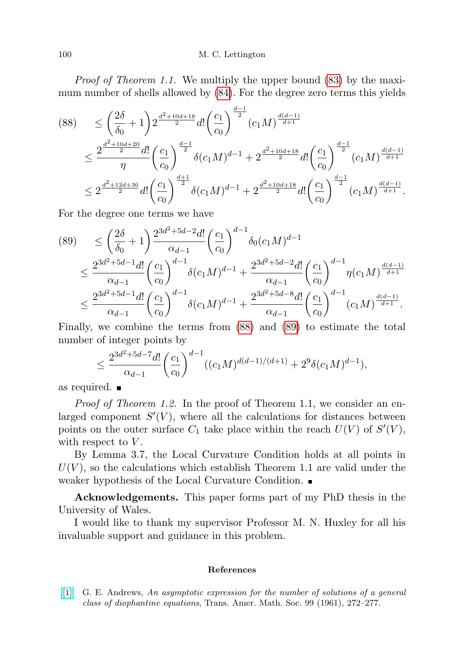*Proof of Theorem 1.1.* We multiply the upper bound  $(83)$  by the maximum number of shells allowed by [\(84\)](#page-26-2). For the degree zero terms this yields

<span id="page-27-1"></span>
$$
(88) \leq \left(\frac{2\delta}{\delta_0} + 1\right) 2^{\frac{d^2+10d+18}{2}} d! \left(\frac{c_1}{c_0}\right)^{\frac{d-1}{2}} (c_1 M)^{\frac{d(d-1)}{d+1}}
$$
  

$$
\leq \frac{2^{\frac{d^2+10d+20}{2}} d!}{\eta} \left(\frac{c_1}{c_0}\right)^{\frac{d-1}{2}} \delta(c_1 M)^{d-1} + 2^{\frac{d^2+10d+18}{2}} d! \left(\frac{c_1}{c_0}\right)^{\frac{d-1}{2}} (c_1 M)^{\frac{d(d-1)}{d+1}}
$$
  

$$
\leq 2^{\frac{d^2+12d+36}{2}} d! \left(\frac{c_1}{c_0}\right)^{\frac{d+1}{2}} \delta(c_1 M)^{d-1} + 2^{\frac{d^2+10d+18}{2}} d! \left(\frac{c_1}{c_0}\right)^{\frac{d-1}{2}} (c_1 M)^{\frac{d(d-1)}{d+1}}.
$$

For the degree one terms we have

<span id="page-27-2"></span>
$$
(89) \leq \left(\frac{2\delta}{\delta_0} + 1\right) \frac{2^{3d^2 + 5d - 2}d!}{\alpha_{d-1}} \left(\frac{c_1}{c_0}\right)^{d-1} \delta_0(c_1M)^{d-1}
$$
  

$$
\leq \frac{2^{3d^2 + 5d - 1}d!}{\alpha_{d-1}} \left(\frac{c_1}{c_0}\right)^{d-1} \delta(c_1M)^{d-1} + \frac{2^{3d^2 + 5d - 2}d!}{\alpha_{d-1}} \left(\frac{c_1}{c_0}\right)^{d-1} \eta(c_1M)^{\frac{d(d-1)}{d+1}}
$$
  

$$
\leq \frac{2^{3d^2 + 5d - 1}d!}{\alpha_{d-1}} \left(\frac{c_1}{c_0}\right)^{d-1} \delta(c_1M)^{d-1} + \frac{2^{3d^2 + 5d - 8}d!}{\alpha_{d-1}} \left(\frac{c_1}{c_0}\right)^{d-1} (c_1M)^{\frac{d(d-1)}{d+1}}.
$$

Finally, we combine the terms from [\(88\)](#page-27-1) and [\(89\)](#page-27-2) to estimate the total number of integer points by

$$
\leq \frac{2^{3d^2+5d-7}d!}{\alpha_{d-1}} \left(\frac{c_1}{c_0}\right)^{d-1} ((c_1M)^{d(d-1)/(d+1)} + 2^9 \delta(c_1M)^{d-1}),
$$

as required.

Proof of Theorem 1.2. In the proof of Theorem 1.1, we consider an enlarged component  $S'(V)$ , where all the calculations for distances between points on the outer surface  $C_1$  take place within the reach  $U(V)$  of  $S'(V)$ , with respect to  $V$ .

By Lemma 3.7, the Local Curvature Condition holds at all points in  $U(V)$ , so the calculations which establish Theorem 1.1 are valid under the weaker hypothesis of the Local Curvature Condition.

Acknowledgements. This paper forms part of my PhD thesis in the University of Wales.

I would like to thank my supervisor Professor M. N. Huxley for all his invaluable support and guidance in this problem.

## References

<span id="page-27-0"></span>[\[1\]](http://dx.doi.org/10.2307/1993396) G. E. Andrews, An asymptotic expression for the number of solutions of a general class of diophantine equations, Trans. Amer. Math. Soc. 99 (1961), 272–277.